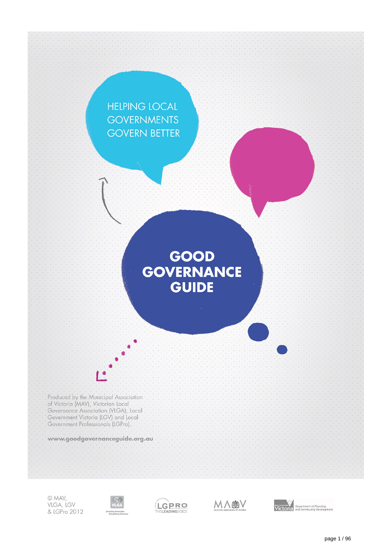

© MAV, VLGA, LGV & LGPro 2012







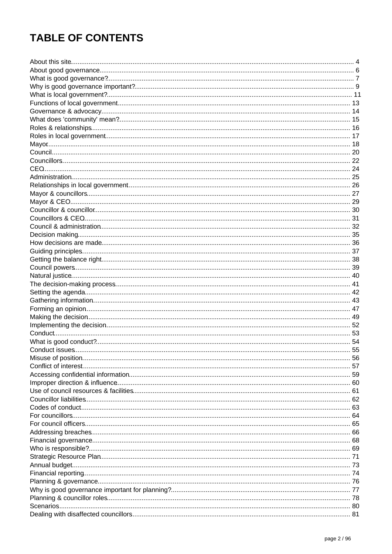# **TABLE OF CONTENTS**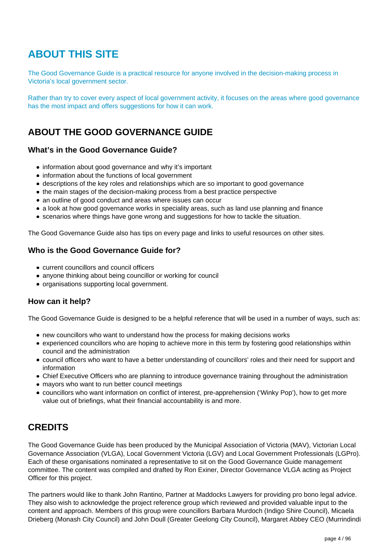# <span id="page-3-0"></span>**ABOUT THIS SITE**

The Good Governance Guide is a practical resource for anyone involved in the decision-making process in Victoria's local government sector.

Rather than try to cover every aspect of local government activity, it focuses on the areas where good governance has the most impact and offers suggestions for how it can work.

## **ABOUT THE GOOD GOVERNANCE GUIDE**

### **What's in the Good Governance Guide?**

- information about good governance and why it's important
- information about the functions of local government
- descriptions of the key roles and relationships which are so important to good governance
- the main stages of the decision-making process from a best practice perspective
- an outline of good conduct and areas where issues can occur
- a look at how good governance works in speciality areas, such as land use planning and finance
- scenarios where things have gone wrong and suggestions for how to tackle the situation.

The Good Governance Guide also has tips on every page and links to useful resources on other sites.

### **Who is the Good Governance Guide for?**

- current councillors and council officers
- anyone thinking about being councillor or working for council
- organisations supporting local government.

### **How can it help?**

The Good Governance Guide is designed to be a helpful reference that will be used in a number of ways, such as:

- new councillors who want to understand how the process for making decisions works
- experienced councillors who are hoping to achieve more in this term by fostering good relationships within council and the administration
- council officers who want to have a better understanding of councillors' roles and their need for support and information
- Chief Executive Officers who are planning to introduce governance training throughout the administration
- mayors who want to run better council meetings
- councillors who want information on conflict of interest, pre-apprehension ('Winky Pop'), how to get more value out of briefings, what their financial accountability is and more.

## **CREDITS**

The Good Governance Guide has been produced by the Municipal Association of Victoria (MAV), Victorian Local Governance Association (VLGA), Local Government Victoria (LGV) and Local Government Professionals (LGPro). Each of these organisations nominated a representative to sit on the Good Governance Guide management committee. The content was compiled and drafted by Ron Exiner, Director Governance VLGA acting as Project Officer for this project.

The partners would like to thank John Rantino, Partner at Maddocks Lawyers for providing pro bono legal advice. They also wish to acknowledge the project reference group which reviewed and provided valuable input to the content and approach. Members of this group were councillors Barbara Murdoch (Indigo Shire Council), Micaela Drieberg (Monash City Council) and John Doull (Greater Geelong City Council), Margaret Abbey CEO (Murrindindi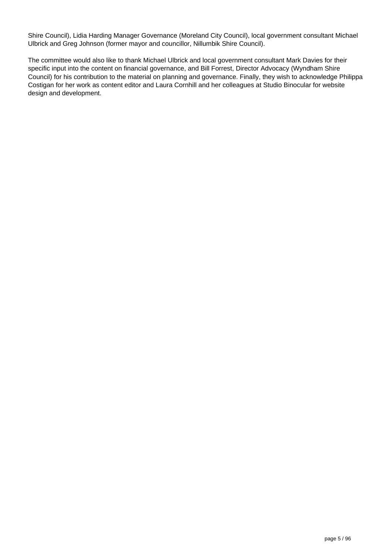Shire Council), Lidia Harding Manager Governance (Moreland City Council), local government consultant Michael Ulbrick and Greg Johnson (former mayor and councillor, Nillumbik Shire Council).

The committee would also like to thank Michael Ulbrick and local government consultant Mark Davies for their specific input into the content on financial governance, and Bill Forrest, Director Advocacy (Wyndham Shire Council) for his contribution to the material on planning and governance. Finally, they wish to acknowledge Philippa Costigan for her work as content editor and Laura Cornhill and her colleagues at Studio Binocular for website design and development.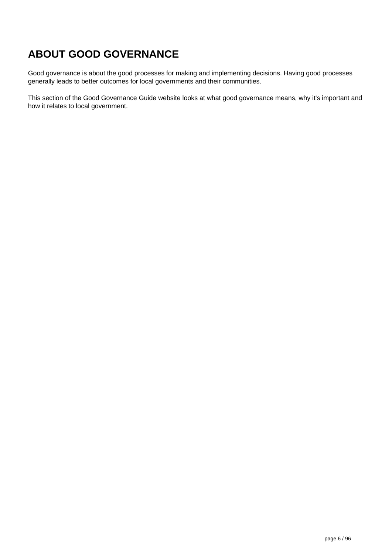# <span id="page-5-0"></span>**ABOUT GOOD GOVERNANCE**

Good governance is about the good processes for making and implementing decisions. Having good processes generally leads to better outcomes for local governments and their communities.

This section of the Good Governance Guide website looks at what good governance means, why it's important and how it relates to local government.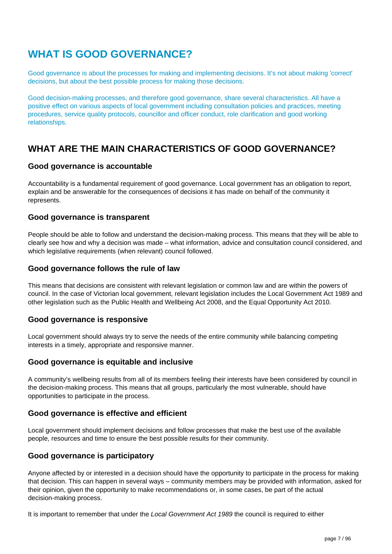# <span id="page-6-0"></span>**WHAT IS GOOD GOVERNANCE?**

Good governance is about the processes for making and implementing decisions. It's not about making 'correct' decisions, but about the best possible process for making those decisions.

Good decision-making processes, and therefore good governance, share several characteristics. All have a positive effect on various aspects of local government including consultation policies and practices, meeting procedures, service quality protocols, councillor and officer conduct, role clarification and good working relationships.

## **WHAT ARE THE MAIN CHARACTERISTICS OF GOOD GOVERNANCE?**

### **Good governance is accountable**

Accountability is a fundamental requirement of good governance. Local government has an obligation to report, explain and be answerable for the consequences of decisions it has made on behalf of the community it represents.

### **Good governance is transparent**

People should be able to follow and understand the decision-making process. This means that they will be able to clearly see how and why a decision was made – what information, advice and consultation council considered, and which legislative requirements (when relevant) council followed.

#### **Good governance follows the rule of law**

This means that decisions are consistent with relevant legislation or common law and are within the powers of council. In the case of Victorian local government, relevant legislation includes the Local Government Act 1989 and other legislation such as the Public Health and Wellbeing Act 2008, and the Equal Opportunity Act 2010.

### **Good governance is responsive**

Local government should always try to serve the needs of the entire community while balancing competing interests in a timely, appropriate and responsive manner.

### **Good governance is equitable and inclusive**

A community's wellbeing results from all of its members feeling their interests have been considered by council in the decision-making process. This means that all groups, particularly the most vulnerable, should have opportunities to participate in the process.

### **Good governance is effective and efficient**

Local government should implement decisions and follow processes that make the best use of the available people, resources and time to ensure the best possible results for their community.

### **Good governance is participatory**

Anyone affected by or interested in a decision should have the opportunity to participate in the process for making that decision. This can happen in several ways – community members may be provided with information, asked for their opinion, given the opportunity to make recommendations or, in some cases, be part of the actual decision-making process.

It is important to remember that under the Local Government Act 1989 the council is required to either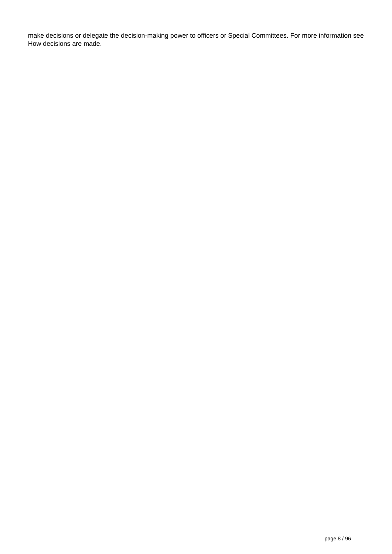make decisions or delegate the decision-making power to officers or Special Committees. For more information see How decisions are made.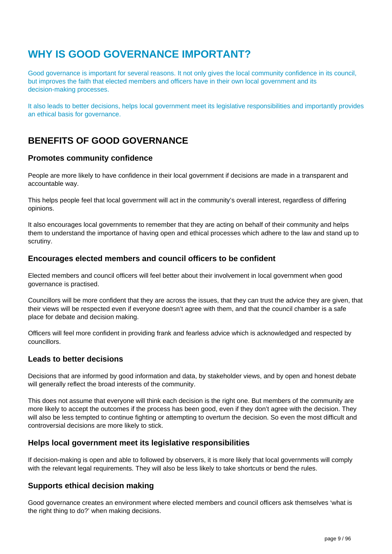# <span id="page-8-0"></span>**WHY IS GOOD GOVERNANCE IMPORTANT?**

Good governance is important for several reasons. It not only gives the local community confidence in its council, but improves the faith that elected members and officers have in their own local government and its decision-making processes.

It also leads to better decisions, helps local government meet its legislative responsibilities and importantly provides an ethical basis for governance.

## **BENEFITS OF GOOD GOVERNANCE**

### **Promotes community confidence**

People are more likely to have confidence in their local government if decisions are made in a transparent and accountable way.

This helps people feel that local government will act in the community's overall interest, regardless of differing opinions.

It also encourages local governments to remember that they are acting on behalf of their community and helps them to understand the importance of having open and ethical processes which adhere to the law and stand up to scrutiny.

### **Encourages elected members and council officers to be confident**

Elected members and council officers will feel better about their involvement in local government when good governance is practised.

Councillors will be more confident that they are across the issues, that they can trust the advice they are given, that their views will be respected even if everyone doesn't agree with them, and that the council chamber is a safe place for debate and decision making.

Officers will feel more confident in providing frank and fearless advice which is acknowledged and respected by councillors.

### **Leads to better decisions**

Decisions that are informed by good information and data, by stakeholder views, and by open and honest debate will generally reflect the broad interests of the community.

This does not assume that everyone will think each decision is the right one. But members of the community are more likely to accept the outcomes if the process has been good, even if they don't agree with the decision. They will also be less tempted to continue fighting or attempting to overturn the decision. So even the most difficult and controversial decisions are more likely to stick.

#### **Helps local government meet its legislative responsibilities**

If decision-making is open and able to followed by observers, it is more likely that local governments will comply with the relevant legal requirements. They will also be less likely to take shortcuts or bend the rules.

### **Supports ethical decision making**

Good governance creates an environment where elected members and council officers ask themselves 'what is the right thing to do?' when making decisions.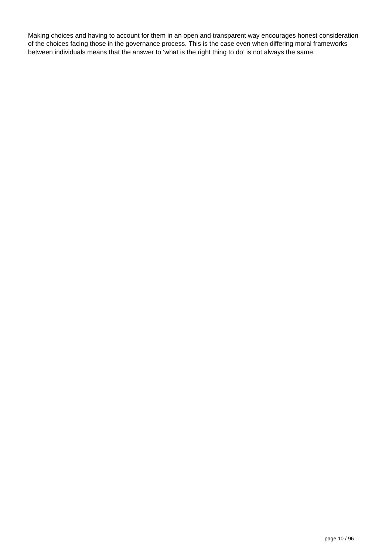Making choices and having to account for them in an open and transparent way encourages honest consideration of the choices facing those in the governance process. This is the case even when differing moral frameworks between individuals means that the answer to 'what is the right thing to do' is not always the same.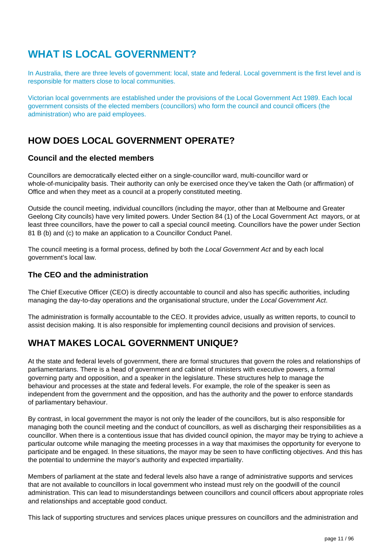# <span id="page-10-0"></span>**WHAT IS LOCAL GOVERNMENT?**

In Australia, there are three levels of government: local, state and federal. Local government is the first level and is responsible for matters close to local communities.

Victorian local governments are established under the provisions of the Local Government Act 1989. Each local government consists of the elected members (councillors) who form the council and council officers (the administration) who are paid employees.

## **HOW DOES LOCAL GOVERNMENT OPERATE?**

### **Council and the elected members**

Councillors are democratically elected either on a single-councillor ward, multi-councillor ward or whole-of-municipality basis. Their authority can only be exercised once they've taken the Oath (or affirmation) of Office and when they meet as a council at a properly constituted meeting.

Outside the council meeting, individual councillors (including the mayor, other than at Melbourne and Greater Geelong City councils) have very limited powers. Under Section 84 (1) of the Local Government Act mayors, or at least three councillors, have the power to call a special council meeting. Councillors have the power under Section 81 B (b) and (c) to make an application to a Councillor Conduct Panel.

The council meeting is a formal process, defined by both the Local Government Act and by each local government's local law.

### **The CEO and the administration**

The Chief Executive Officer (CEO) is directly accountable to council and also has specific authorities, including managing the day-to-day operations and the organisational structure, under the Local Government Act.

The administration is formally accountable to the CEO. It provides advice, usually as written reports, to council to assist decision making. It is also responsible for implementing council decisions and provision of services.

## **WHAT MAKES LOCAL GOVERNMENT UNIQUE?**

At the state and federal levels of government, there are formal structures that govern the roles and relationships of parliamentarians. There is a head of government and cabinet of ministers with executive powers, a formal governing party and opposition, and a speaker in the legislature. These structures help to manage the behaviour and processes at the state and federal levels. For example, the role of the speaker is seen as independent from the government and the opposition, and has the authority and the power to enforce standards of parliamentary behaviour.

By contrast, in local government the mayor is not only the leader of the councillors, but is also responsible for managing both the council meeting and the conduct of councillors, as well as discharging their responsibilities as a councillor. When there is a contentious issue that has divided council opinion, the mayor may be trying to achieve a particular outcome while managing the meeting processes in a way that maximises the opportunity for everyone to participate and be engaged. In these situations, the mayor may be seen to have conflicting objectives. And this has the potential to undermine the mayor's authority and expected impartiality.

Members of parliament at the state and federal levels also have a range of administrative supports and services that are not available to councillors in local government who instead must rely on the goodwill of the council administration. This can lead to misunderstandings between councillors and council officers about appropriate roles and relationships and acceptable good conduct.

This lack of supporting structures and services places unique pressures on councillors and the administration and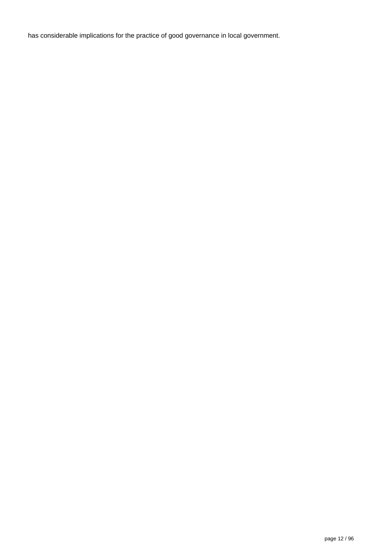has considerable implications for the practice of good governance in local government.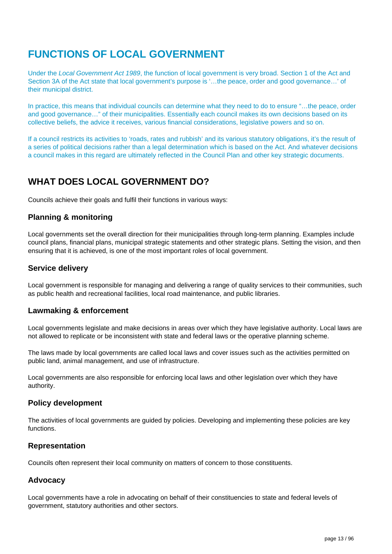# <span id="page-12-0"></span>**FUNCTIONS OF LOCAL GOVERNMENT**

Under the Local Government Act 1989, the function of local government is very broad. Section 1 of the Act and Section 3A of the Act state that local government's purpose is '…the peace, order and good governance…' of their municipal district.

In practice, this means that individual councils can determine what they need to do to ensure "...the peace, order and good governance..." of their municipalities. Essentially each council makes its own decisions based on its collective beliefs, the advice it receives, various financial considerations, legislative powers and so on.

If a council restricts its activities to 'roads, rates and rubbish' and its various statutory obligations, it's the result of a series of political decisions rather than a legal determination which is based on the Act. And whatever decisions a council makes in this regard are ultimately reflected in the Council Plan and other key strategic documents.

## **WHAT DOES LOCAL GOVERNMENT DO?**

Councils achieve their goals and fulfil their functions in various ways:

### **Planning & monitoring**

Local governments set the overall direction for their municipalities through long-term planning. Examples include council plans, financial plans, municipal strategic statements and other strategic plans. Setting the vision, and then ensuring that it is achieved, is one of the most important roles of local government.

### **Service delivery**

Local government is responsible for managing and delivering a range of quality services to their communities, such as public health and recreational facilities, local road maintenance, and public libraries.

### **Lawmaking & enforcement**

Local governments legislate and make decisions in areas over which they have legislative authority. Local laws are not allowed to replicate or be inconsistent with state and federal laws or the operative planning scheme.

The laws made by local governments are called local laws and cover issues such as the activities permitted on public land, animal management, and use of infrastructure.

Local governments are also responsible for enforcing local laws and other legislation over which they have authority.

### **Policy development**

The activities of local governments are guided by policies. Developing and implementing these policies are key functions.

### **Representation**

Councils often represent their local community on matters of concern to those constituents.

### **Advocacy**

Local governments have a role in advocating on behalf of their constituencies to state and federal levels of government, statutory authorities and other sectors.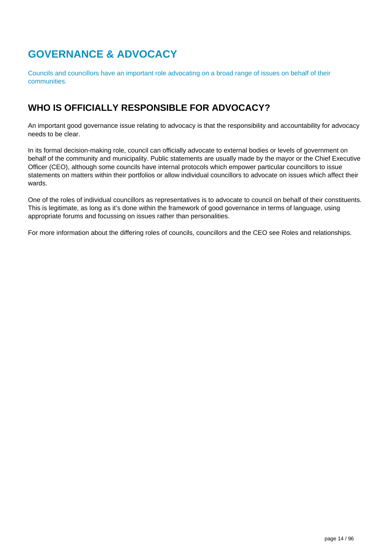# <span id="page-13-0"></span>**GOVERNANCE & ADVOCACY**

Councils and councillors have an important role advocating on a broad range of issues on behalf of their communities.

## **WHO IS OFFICIALLY RESPONSIBLE FOR ADVOCACY?**

An important good governance issue relating to advocacy is that the responsibility and accountability for advocacy needs to be clear.

In its formal decision-making role, council can officially advocate to external bodies or levels of government on behalf of the community and municipality. Public statements are usually made by the mayor or the Chief Executive Officer (CEO), although some councils have internal protocols which empower particular councillors to issue statements on matters within their portfolios or allow individual councillors to advocate on issues which affect their wards.

One of the roles of individual councillors as representatives is to advocate to council on behalf of their constituents. This is legitimate, as long as it's done within the framework of good governance in terms of language, using appropriate forums and focussing on issues rather than personalities.

For more information about the differing roles of councils, councillors and the CEO see Roles and relationships.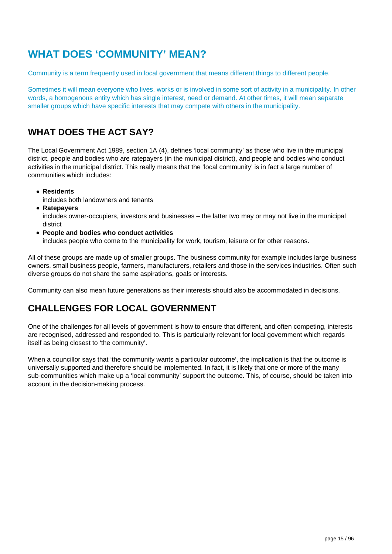# <span id="page-14-0"></span>**WHAT DOES 'COMMUNITY' MEAN?**

Community is a term frequently used in local government that means different things to different people.

Sometimes it will mean everyone who lives, works or is involved in some sort of activity in a municipality. In other words, a homogenous entity which has single interest, need or demand. At other times, it will mean separate smaller groups which have specific interests that may compete with others in the municipality.

## **WHAT DOES THE ACT SAY?**

The Local Government Act 1989, section 1A (4), defines 'local community' as those who live in the municipal district, people and bodies who are ratepayers (in the municipal district), and people and bodies who conduct activities in the municipal district. This really means that the 'local community' is in fact a large number of communities which includes:

**Residents**

includes both landowners and tenants

**Ratepayers**

includes owner-occupiers, investors and businesses – the latter two may or may not live in the municipal district

**People and bodies who conduct activities**

includes people who come to the municipality for work, tourism, leisure or for other reasons.

All of these groups are made up of smaller groups. The business community for example includes large business owners, small business people, farmers, manufacturers, retailers and those in the services industries. Often such diverse groups do not share the same aspirations, goals or interests.

Community can also mean future generations as their interests should also be accommodated in decisions.

## **CHALLENGES FOR LOCAL GOVERNMENT**

One of the challenges for all levels of government is how to ensure that different, and often competing, interests are recognised, addressed and responded to. This is particularly relevant for local government which regards itself as being closest to 'the community'.

When a councillor says that 'the community wants a particular outcome', the implication is that the outcome is universally supported and therefore should be implemented. In fact, it is likely that one or more of the many sub-communities which make up a 'local community' support the outcome. This, of course, should be taken into account in the decision-making process.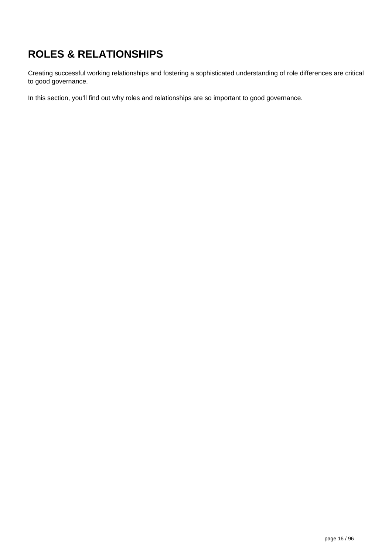# <span id="page-15-0"></span>**ROLES & RELATIONSHIPS**

Creating successful working relationships and fostering a sophisticated understanding of role differences are critical to good governance.

In this section, you'll find out why roles and relationships are so important to good governance.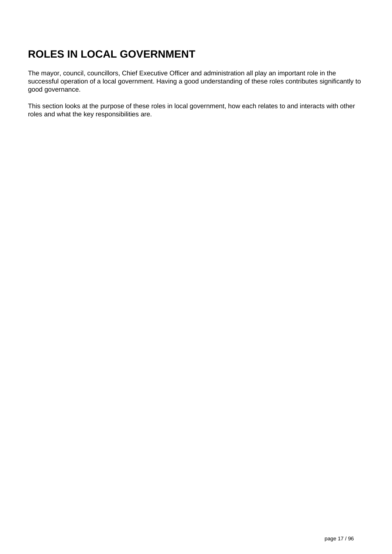# <span id="page-16-0"></span>**ROLES IN LOCAL GOVERNMENT**

The mayor, council, councillors, Chief Executive Officer and administration all play an important role in the successful operation of a local government. Having a good understanding of these roles contributes significantly to good governance.

This section looks at the purpose of these roles in local government, how each relates to and interacts with other roles and what the key responsibilities are.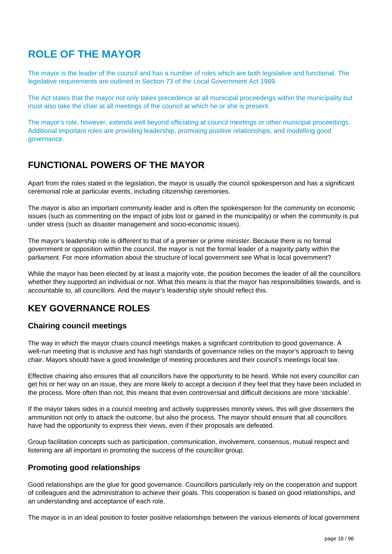# <span id="page-17-0"></span>**ROLE OF THE MAYOR**

The mayor is the leader of the council and has a number of roles which are both legislative and functional. The legislative requirements are outlined in Section 73 of the Local Government Act 1989.

The Act states that the mayor not only takes precedence at all municipal proceedings within the municipality but must also take the chair at all meetings of the council at which he or she is present.

The mayor's role, however, extends well beyond officiating at council meetings or other municipal proceedings. Additional important roles are providing leadership, promoting positive relationships, and modelling good governance.

### **FUNCTIONAL POWERS OF THE MAYOR**

Apart from the roles stated in the legislation, the mayor is usually the council spokesperson and has a significant ceremonial role at particular events, including citizenship ceremonies.

The mayor is also an important community leader and is often the spokesperson for the community on economic issues (such as commenting on the impact of jobs lost or gained in the municipality) or when the community is put under stress (such as disaster management and socio-economic issues).

The mayor's leadership role is different to that of a premier or prime minister. Because there is no formal government or opposition within the council, the mayor is not the formal leader of a majority party within the parliament. For more information about the structure of local government see What is local government?

While the mayor has been elected by at least a majority vote, the position becomes the leader of all the councillors whether they supported an individual or not. What this means is that the mayor has responsibilities towards, and is accountable to, all councillors. And the mayor's leadership style should reflect this.

## **KEY GOVERNANCE ROLES**

### **Chairing council meetings**

The way in which the mayor chairs council meetings makes a significant contribution to good governance. A well-run meeting that is inclusive and has high standards of governance relies on the mayor's approach to being chair. Mayors should have a good knowledge of meeting procedures and their council's meetings local law.

Effective chairing also ensures that all councillors have the opportunity to be heard. While not every councillor can get his or her way on an issue, they are more likely to accept a decision if they feel that they have been included in the process. More often than not, this means that even controversial and difficult decisions are more 'stickable'.

If the mayor takes sides in a council meeting and actively suppresses minority views, this will give dissenters the ammunition not only to attack the outcome, but also the process. The mayor should ensure that all councillors have had the opportunity to express their views, even if their proposals are defeated.

Group facilitation concepts such as participation, communication, involvement, consensus, mutual respect and listening are all important in promoting the success of the councillor group.

### **Promoting good relationships**

Good relationships are the glue for good governance. Councillors particularly rely on the cooperation and support of colleagues and the administration to achieve their goals. This cooperation is based on good relationships, and an understanding and acceptance of each role.

The mayor is in an ideal position to foster positive relationships between the various elements of local government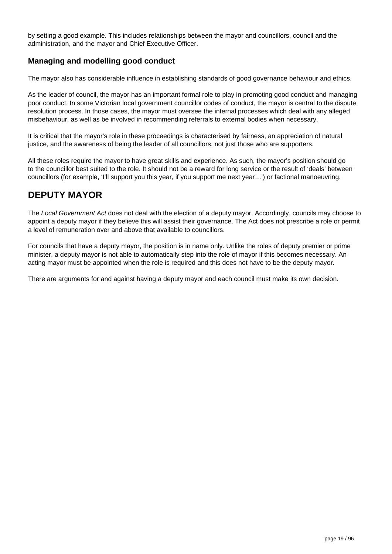by setting a good example. This includes relationships between the mayor and councillors, council and the administration, and the mayor and Chief Executive Officer.

### **Managing and modelling good conduct**

The mayor also has considerable influence in establishing standards of good governance behaviour and ethics.

As the leader of council, the mayor has an important formal role to play in promoting good conduct and managing poor conduct. In some Victorian local government councillor codes of conduct, the mayor is central to the dispute resolution process. In those cases, the mayor must oversee the internal processes which deal with any alleged misbehaviour, as well as be involved in recommending referrals to external bodies when necessary.

It is critical that the mayor's role in these proceedings is characterised by fairness, an appreciation of natural justice, and the awareness of being the leader of all councillors, not just those who are supporters.

All these roles require the mayor to have great skills and experience. As such, the mayor's position should go to the councillor best suited to the role. It should not be a reward for long service or the result of 'deals' between councillors (for example, 'I'll support you this year, if you support me next year…') or factional manoeuvring.

## **DEPUTY MAYOR**

The Local Government Act does not deal with the election of a deputy mayor. Accordingly, councils may choose to appoint a deputy mayor if they believe this will assist their governance. The Act does not prescribe a role or permit a level of remuneration over and above that available to councillors.

For councils that have a deputy mayor, the position is in name only. Unlike the roles of deputy premier or prime minister, a deputy mayor is not able to automatically step into the role of mayor if this becomes necessary. An acting mayor must be appointed when the role is required and this does not have to be the deputy mayor.

There are arguments for and against having a deputy mayor and each council must make its own decision.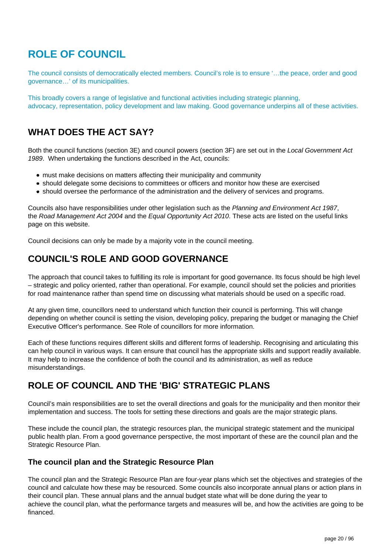# <span id="page-19-0"></span>**ROLE OF COUNCIL**

The council consists of democratically elected members. Council's role is to ensure '…the peace, order and good governance…' of its municipalities.

This broadly covers a range of legislative and functional activities including strategic planning, advocacy, representation, policy development and law making. Good governance underpins all of these activities.

## **WHAT DOES THE ACT SAY?**

Both the council functions (section 3E) and council powers (section 3F) are set out in the Local Government Act 1989. When undertaking the functions described in the Act, councils:

- must make decisions on matters affecting their municipality and community
- should delegate some decisions to committees or officers and monitor how these are exercised
- should oversee the performance of the administration and the delivery of services and programs.

Councils also have responsibilities under other legislation such as the Planning and Environment Act 1987. the Road Management Act 2004 and the Equal Opportunity Act 2010. These acts are listed on the useful links page on this website.

Council decisions can only be made by a majority vote in the council meeting.

## **COUNCIL'S ROLE AND GOOD GOVERNANCE**

The approach that council takes to fulfilling its role is important for good governance. Its focus should be high level – strategic and policy oriented, rather than operational. For example, council should set the policies and priorities for road maintenance rather than spend time on discussing what materials should be used on a specific road.

At any given time, councillors need to understand which function their council is performing. This will change depending on whether council is setting the vision, developing policy, preparing the budget or managing the Chief Executive Officer's performance. See Role of councillors for more information.

Each of these functions requires different skills and different forms of leadership. Recognising and articulating this can help council in various ways. It can ensure that council has the appropriate skills and support readily available. It may help to increase the confidence of both the council and its administration, as well as reduce misunderstandings.

## **ROLE OF COUNCIL AND THE 'BIG' STRATEGIC PLANS**

Council's main responsibilities are to set the overall directions and goals for the municipality and then monitor their implementation and success. The tools for setting these directions and goals are the major strategic plans.

These include the council plan, the strategic resources plan, the municipal strategic statement and the municipal public health plan. From a good governance perspective, the most important of these are the council plan and the Strategic Resource Plan.

### **The council plan and the Strategic Resource Plan**

The council plan and the Strategic Resource Plan are four-year plans which set the objectives and strategies of the council and calculate how these may be resourced. Some councils also incorporate annual plans or action plans in their council plan. These annual plans and the annual budget state what will be done during the year to achieve the council plan, what the performance targets and measures will be, and how the activities are going to be financed.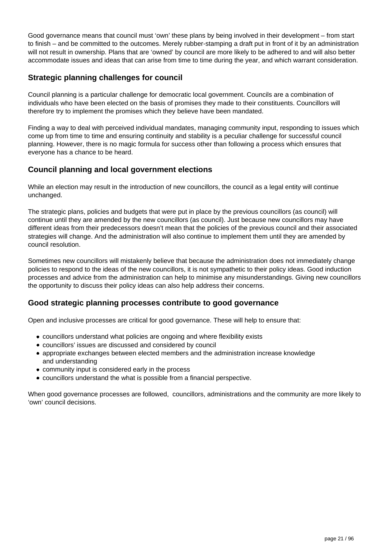Good governance means that council must 'own' these plans by being involved in their development – from start to finish – and be committed to the outcomes. Merely rubber-stamping a draft put in front of it by an administration will not result in ownership. Plans that are 'owned' by council are more likely to be adhered to and will also better accommodate issues and ideas that can arise from time to time during the year, and which warrant consideration.

### **Strategic planning challenges for council**

Council planning is a particular challenge for democratic local government. Councils are a combination of individuals who have been elected on the basis of promises they made to their constituents. Councillors will therefore try to implement the promises which they believe have been mandated.

Finding a way to deal with perceived individual mandates, managing community input, responding to issues which come up from time to time and ensuring continuity and stability is a peculiar challenge for successful council planning. However, there is no magic formula for success other than following a process which ensures that everyone has a chance to be heard.

### **Council planning and local government elections**

While an election may result in the introduction of new councillors, the council as a legal entity will continue unchanged.

The strategic plans, policies and budgets that were put in place by the previous councillors (as council) will continue until they are amended by the new councillors (as council). Just because new councillors may have different ideas from their predecessors doesn't mean that the policies of the previous council and their associated strategies will change. And the administration will also continue to implement them until they are amended by council resolution.

Sometimes new councillors will mistakenly believe that because the administration does not immediately change policies to respond to the ideas of the new councillors, it is not sympathetic to their policy ideas. Good induction processes and advice from the administration can help to minimise any misunderstandings. Giving new councillors the opportunity to discuss their policy ideas can also help address their concerns.

### **Good strategic planning processes contribute to good governance**

Open and inclusive processes are critical for good governance. These will help to ensure that:

- councillors understand what policies are ongoing and where flexibility exists
- councillors' issues are discussed and considered by council
- appropriate exchanges between elected members and the administration increase knowledge and understanding
- community input is considered early in the process
- councillors understand the what is possible from a financial perspective.

When good governance processes are followed, councillors, administrations and the community are more likely to 'own' council decisions.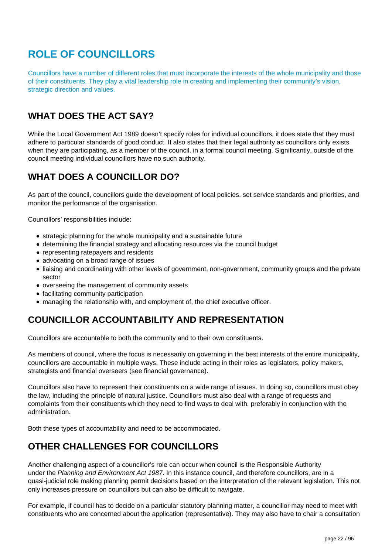# <span id="page-21-0"></span>**ROLE OF COUNCILLORS**

Councillors have a number of different roles that must incorporate the interests of the whole municipality and those of their constituents. They play a vital leadership role in creating and implementing their community's vision, strategic direction and values.

# **WHAT DOES THE ACT SAY?**

While the Local Government Act 1989 doesn't specify roles for individual councillors, it does state that they must adhere to particular standards of good conduct. It also states that their legal authority as councillors only exists when they are participating, as a member of the council, in a formal council meeting. Significantly, outside of the council meeting individual councillors have no such authority.

## **WHAT DOES A COUNCILLOR DO?**

As part of the council, councillors guide the development of local policies, set service standards and priorities, and monitor the performance of the organisation.

Councillors' responsibilities include:

- strategic planning for the whole municipality and a sustainable future
- determining the financial strategy and allocating resources via the council budget
- representing ratepayers and residents
- advocating on a broad range of issues
- liaising and coordinating with other levels of government, non-government, community groups and the private sector
- overseeing the management of community assets
- facilitating community participation
- managing the relationship with, and employment of, the chief executive officer.

# **COUNCILLOR ACCOUNTABILITY AND REPRESENTATION**

Councillors are accountable to both the community and to their own constituents.

As members of council, where the focus is necessarily on governing in the best interests of the entire municipality, councillors are accountable in multiple ways. These include acting in their roles as legislators, policy makers, strategists and financial overseers (see financial governance).

Councillors also have to represent their constituents on a wide range of issues. In doing so, councillors must obey the law, including the principle of natural justice. Councillors must also deal with a range of requests and complaints from their constituents which they need to find ways to deal with, preferably in conjunction with the administration.

Both these types of accountability and need to be accommodated.

## **OTHER CHALLENGES FOR COUNCILLORS**

Another challenging aspect of a councillor's role can occur when council is the Responsible Authority under the Planning and Environment Act 1987. In this instance council, and therefore councillors, are in a quasi-judicial role making planning permit decisions based on the interpretation of the relevant legislation. This not only increases pressure on councillors but can also be difficult to navigate.

For example, if council has to decide on a particular statutory planning matter, a councillor may need to meet with constituents who are concerned about the application (representative). They may also have to chair a consultation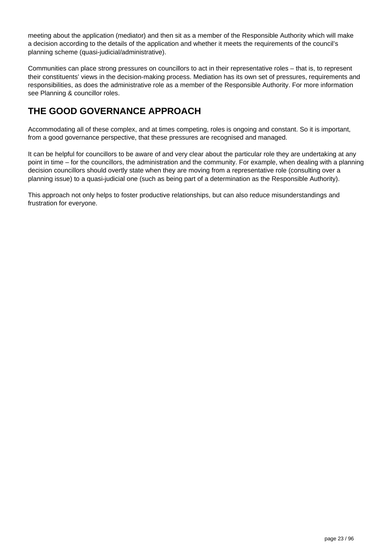meeting about the application (mediator) and then sit as a member of the Responsible Authority which will make a decision according to the details of the application and whether it meets the requirements of the council's planning scheme (quasi-judicial/administrative).

Communities can place strong pressures on councillors to act in their representative roles – that is, to represent their constituents' views in the decision-making process. Mediation has its own set of pressures, requirements and responsibilities, as does the administrative role as a member of the Responsible Authority. For more information see Planning & councillor roles.

# **THE GOOD GOVERNANCE APPROACH**

Accommodating all of these complex, and at times competing, roles is ongoing and constant. So it is important, from a good governance perspective, that these pressures are recognised and managed.

It can be helpful for councillors to be aware of and very clear about the particular role they are undertaking at any point in time – for the councillors, the administration and the community. For example, when dealing with a planning decision councillors should overtly state when they are moving from a representative role (consulting over a planning issue) to a quasi-judicial one (such as being part of a determination as the Responsible Authority).

This approach not only helps to foster productive relationships, but can also reduce misunderstandings and frustration for everyone.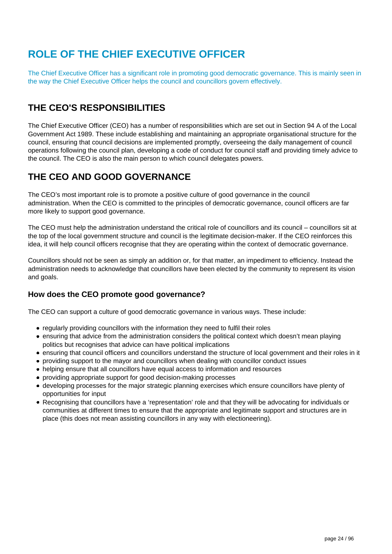# <span id="page-23-0"></span>**ROLE OF THE CHIEF EXECUTIVE OFFICER**

The Chief Executive Officer has a significant role in promoting good democratic governance. This is mainly seen in the way the Chief Executive Officer helps the council and councillors govern effectively.

## **THE CEO'S RESPONSIBILITIES**

The Chief Executive Officer (CEO) has a number of responsibilities which are set out in Section 94 A of the Local Government Act 1989. These include establishing and maintaining an appropriate organisational structure for the council, ensuring that council decisions are implemented promptly, overseeing the daily management of council operations following the council plan, developing a code of conduct for council staff and providing timely advice to the council. The CEO is also the main person to which council delegates powers.

## **THE CEO AND GOOD GOVERNANCE**

The CEO's most important role is to promote a positive culture of good governance in the council administration. When the CEO is committed to the principles of democratic governance, council officers are far more likely to support good governance.

The CEO must help the administration understand the critical role of councillors and its council – councillors sit at the top of the local government structure and council is the legitimate decision-maker. If the CEO reinforces this idea, it will help council officers recognise that they are operating within the context of democratic governance.

Councillors should not be seen as simply an addition or, for that matter, an impediment to efficiency. Instead the administration needs to acknowledge that councillors have been elected by the community to represent its vision and goals.

### **How does the CEO promote good governance?**

The CEO can support a culture of good democratic governance in various ways. These include:

- regularly providing councillors with the information they need to fulfil their roles
- ensuring that advice from the administration considers the political context which doesn't mean playing politics but recognises that advice can have political implications
- ensuring that council officers and councillors understand the structure of local government and their roles in it
- providing support to the mayor and councillors when dealing with councillor conduct issues
- helping ensure that all councillors have equal access to information and resources
- providing appropriate support for good decision-making processes
- developing processes for the major strategic planning exercises which ensure councillors have plenty of opportunities for input
- Recognising that councillors have a 'representation' role and that they will be advocating for individuals or communities at different times to ensure that the appropriate and legitimate support and structures are in place (this does not mean assisting councillors in any way with electioneering).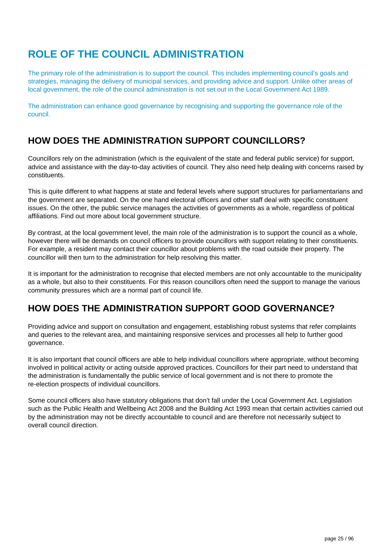# <span id="page-24-0"></span>**ROLE OF THE COUNCIL ADMINISTRATION**

The primary role of the administration is to support the council. This includes implementing council's goals and strategies, managing the delivery of municipal services, and providing advice and support. Unlike other areas of local government, the role of the council administration is not set out in the Local Government Act 1989.

The administration can enhance good governance by recognising and supporting the governance role of the council.

## **HOW DOES THE ADMINISTRATION SUPPORT COUNCILLORS?**

Councillors rely on the administration (which is the equivalent of the state and federal public service) for support, advice and assistance with the day-to-day activities of council. They also need help dealing with concerns raised by constituents.

This is quite different to what happens at state and federal levels where support structures for parliamentarians and the government are separated. On the one hand electoral officers and other staff deal with specific constituent issues. On the other, the public service manages the activities of governments as a whole, regardless of political affiliations. Find out more about local government structure.

By contrast, at the local government level, the main role of the administration is to support the council as a whole, however there will be demands on council officers to provide councillors with support relating to their constituents. For example, a resident may contact their councillor about problems with the road outside their property. The councillor will then turn to the administration for help resolving this matter.

It is important for the administration to recognise that elected members are not only accountable to the municipality as a whole, but also to their constituents. For this reason councillors often need the support to manage the various community pressures which are a normal part of council life.

## **HOW DOES THE ADMINISTRATION SUPPORT GOOD GOVERNANCE?**

Providing advice and support on consultation and engagement, establishing robust systems that refer complaints and queries to the relevant area, and maintaining responsive services and processes all help to further good governance.

It is also important that council officers are able to help individual councillors where appropriate, without becoming involved in political activity or acting outside approved practices. Councillors for their part need to understand that the administration is fundamentally the public service of local government and is not there to promote the re-election prospects of individual councillors.

Some council officers also have statutory obligations that don't fall under the Local Government Act. Legislation such as the Public Health and Wellbeing Act 2008 and the Building Act 1993 mean that certain activities carried out by the administration may not be directly accountable to council and are therefore not necessarily subject to overall council direction.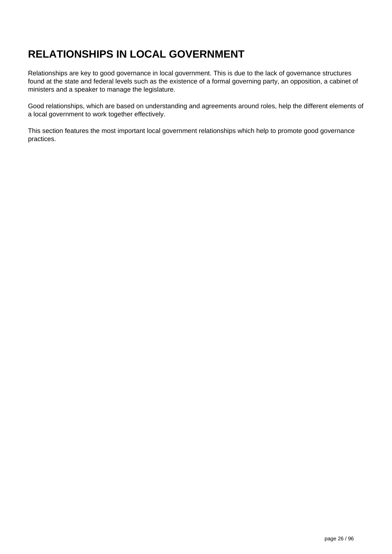# <span id="page-25-0"></span>**RELATIONSHIPS IN LOCAL GOVERNMENT**

Relationships are key to good governance in local government. This is due to the lack of governance structures found at the state and federal levels such as the existence of a formal governing party, an opposition, a cabinet of ministers and a speaker to manage the legislature.

Good relationships, which are based on understanding and agreements around roles, help the different elements of a local government to work together effectively.

This section features the most important local government relationships which help to promote good governance practices.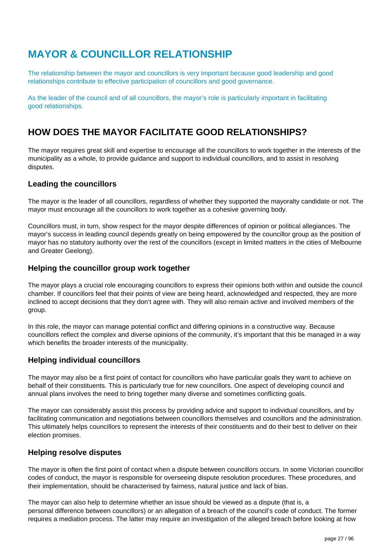# <span id="page-26-0"></span>**MAYOR & COUNCILLOR RELATIONSHIP**

The relationship between the mayor and councillors is very important because good leadership and good relationships contribute to effective participation of councillors and good governance.

As the leader of the council and of all councillors, the mayor's role is particularly important in facilitating good relationships.

## **HOW DOES THE MAYOR FACILITATE GOOD RELATIONSHIPS?**

The mayor requires great skill and expertise to encourage all the councillors to work together in the interests of the municipality as a whole, to provide guidance and support to individual councillors, and to assist in resolving disputes.

### **Leading the councillors**

The mayor is the leader of all councillors, regardless of whether they supported the mayoralty candidate or not. The mayor must encourage all the councillors to work together as a cohesive governing body.

Councillors must, in turn, show respect for the mayor despite differences of opinion or political allegiances. The mayor's success in leading council depends greatly on being empowered by the councillor group as the position of mayor has no statutory authority over the rest of the councillors (except in limited matters in the cities of Melbourne and Greater Geelong).

### **Helping the councillor group work together**

The mayor plays a crucial role encouraging councillors to express their opinions both within and outside the council chamber. If councillors feel that their points of view are being heard, acknowledged and respected, they are more inclined to accept decisions that they don't agree with. They will also remain active and involved members of the group.

In this role, the mayor can manage potential conflict and differing opinions in a constructive way. Because councillors reflect the complex and diverse opinions of the community, it's important that this be managed in a way which benefits the broader interests of the municipality.

### **Helping individual councillors**

The mayor may also be a first point of contact for councillors who have particular goals they want to achieve on behalf of their constituents. This is particularly true for new councillors. One aspect of developing council and annual plans involves the need to bring together many diverse and sometimes conflicting goals.

The mayor can considerably assist this process by providing advice and support to individual councillors, and by facilitating communication and negotiations between councillors themselves and councillors and the administration. This ultimately helps councillors to represent the interests of their constituents and do their best to deliver on their election promises.

### **Helping resolve disputes**

The mayor is often the first point of contact when a dispute between councillors occurs. In some Victorian councillor codes of conduct, the mayor is responsible for overseeing dispute resolution procedures. These procedures, and their implementation, should be characterised by fairness, natural justice and lack of bias.

The mayor can also help to determine whether an issue should be viewed as a dispute (that is, a personal difference between councillors) or an allegation of a breach of the council's code of conduct. The former requires a mediation process. The latter may require an investigation of the alleged breach before looking at how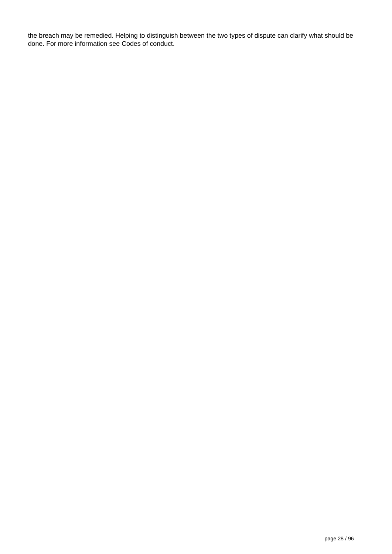the breach may be remedied. Helping to distinguish between the two types of dispute can clarify what should be done. For more information see Codes of conduct.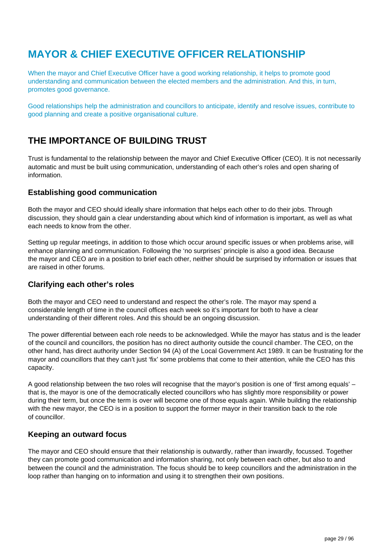# <span id="page-28-0"></span>**MAYOR & CHIEF EXECUTIVE OFFICER RELATIONSHIP**

When the mayor and Chief Executive Officer have a good working relationship, it helps to promote good understanding and communication between the elected members and the administration. And this, in turn, promotes good governance.

Good relationships help the administration and councillors to anticipate, identify and resolve issues, contribute to good planning and create a positive organisational culture.

## **THE IMPORTANCE OF BUILDING TRUST**

Trust is fundamental to the relationship between the mayor and Chief Executive Officer (CEO). It is not necessarily automatic and must be built using communication, understanding of each other's roles and open sharing of information.

### **Establishing good communication**

Both the mayor and CEO should ideally share information that helps each other to do their jobs. Through discussion, they should gain a clear understanding about which kind of information is important, as well as what each needs to know from the other.

Setting up regular meetings, in addition to those which occur around specific issues or when problems arise, will enhance planning and communication. Following the 'no surprises' principle is also a good idea. Because the mayor and CEO are in a position to brief each other, neither should be surprised by information or issues that are raised in other forums.

### **Clarifying each other's roles**

Both the mayor and CEO need to understand and respect the other's role. The mayor may spend a considerable length of time in the council offices each week so it's important for both to have a clear understanding of their different roles. And this should be an ongoing discussion.

The power differential between each role needs to be acknowledged. While the mayor has status and is the leader of the council and councillors, the position has no direct authority outside the council chamber. The CEO, on the other hand, has direct authority under Section 94 (A) of the Local Government Act 1989. It can be frustrating for the mayor and councillors that they can't just 'fix' some problems that come to their attention, while the CEO has this capacity.

A good relationship between the two roles will recognise that the mayor's position is one of 'first among equals' – that is, the mayor is one of the democratically elected councillors who has slightly more responsibility or power during their term, but once the term is over will become one of those equals again. While building the relationship with the new mayor, the CEO is in a position to support the former mayor in their transition back to the role of councillor.

### **Keeping an outward focus**

The mayor and CEO should ensure that their relationship is outwardly, rather than inwardly, focussed. Together they can promote good communication and information sharing, not only between each other, but also to and between the council and the administration. The focus should be to keep councillors and the administration in the loop rather than hanging on to information and using it to strengthen their own positions.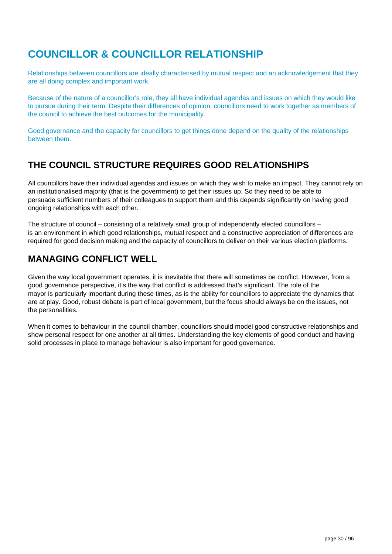# <span id="page-29-0"></span>**COUNCILLOR & COUNCILLOR RELATIONSHIP**

Relationships between councillors are ideally characterised by mutual respect and an acknowledgement that they are all doing complex and important work.

Because of the nature of a councillor's role, they all have individual agendas and issues on which they would like to pursue during their term. Despite their differences of opinion, councillors need to work together as members of the council to achieve the best outcomes for the municipality.

Good governance and the capacity for councillors to get things done depend on the quality of the relationships between them.

## **THE COUNCIL STRUCTURE REQUIRES GOOD RELATIONSHIPS**

All councillors have their individual agendas and issues on which they wish to make an impact. They cannot rely on an institutionalised majority (that is the government) to get their issues up. So they need to be able to persuade sufficient numbers of their colleagues to support them and this depends significantly on having good ongoing relationships with each other.

The structure of council – consisting of a relatively small group of independently elected councillors – is an environment in which good relationships, mutual respect and a constructive appreciation of differences are required for good decision making and the capacity of councillors to deliver on their various election platforms.

## **MANAGING CONFLICT WELL**

Given the way local government operates, it is inevitable that there will sometimes be conflict. However, from a good governance perspective, it's the way that conflict is addressed that's significant. The role of the mayor is particularly important during these times, as is the ability for councillors to appreciate the dynamics that are at play. Good, robust debate is part of local government, but the focus should always be on the issues, not the personalities.

When it comes to behaviour in the council chamber, councillors should model good constructive relationships and show personal respect for one another at all times. Understanding the key elements of good conduct and having solid processes in place to manage behaviour is also important for good governance.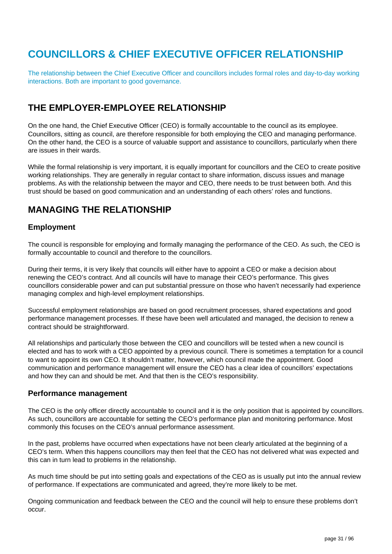# <span id="page-30-0"></span>**COUNCILLORS & CHIEF EXECUTIVE OFFICER RELATIONSHIP**

The relationship between the Chief Executive Officer and councillors includes formal roles and day-to-day working interactions. Both are important to good governance.

## **THE EMPLOYER-EMPLOYEE RELATIONSHIP**

On the one hand, the Chief Executive Officer (CEO) is formally accountable to the council as its employee. Councillors, sitting as council, are therefore responsible for both employing the CEO and managing performance. On the other hand, the CEO is a source of valuable support and assistance to councillors, particularly when there are issues in their wards.

While the formal relationship is very important, it is equally important for councillors and the CEO to create positive working relationships. They are generally in regular contact to share information, discuss issues and manage problems. As with the relationship between the mayor and CEO, there needs to be trust between both. And this trust should be based on good communication and an understanding of each others' roles and functions.

## **MANAGING THE RELATIONSHIP**

### **Employment**

The council is responsible for employing and formally managing the performance of the CEO. As such, the CEO is formally accountable to council and therefore to the councillors.

During their terms, it is very likely that councils will either have to appoint a CEO or make a decision about renewing the CEO's contract. And all councils will have to manage their CEO's performance. This gives councillors considerable power and can put substantial pressure on those who haven't necessarily had experience managing complex and high-level employment relationships.

Successful employment relationships are based on good recruitment processes, shared expectations and good performance management processes. If these have been well articulated and managed, the decision to renew a contract should be straightforward.

All relationships and particularly those between the CEO and councillors will be tested when a new council is elected and has to work with a CEO appointed by a previous council. There is sometimes a temptation for a council to want to appoint its own CEO. It shouldn't matter, however, which council made the appointment. Good communication and performance management will ensure the CEO has a clear idea of councillors' expectations and how they can and should be met. And that then is the CEO's responsibility.

### **Performance management**

The CEO is the only officer directly accountable to council and it is the only position that is appointed by councillors. As such, councillors are accountable for setting the CEO's performance plan and monitoring performance. Most commonly this focuses on the CEO's annual performance assessment.

In the past, problems have occurred when expectations have not been clearly articulated at the beginning of a CEO's term. When this happens councillors may then feel that the CEO has not delivered what was expected and this can in turn lead to problems in the relationship.

As much time should be put into setting goals and expectations of the CEO as is usually put into the annual review of performance. If expectations are communicated and agreed, they're more likely to be met.

Ongoing communication and feedback between the CEO and the council will help to ensure these problems don't occur.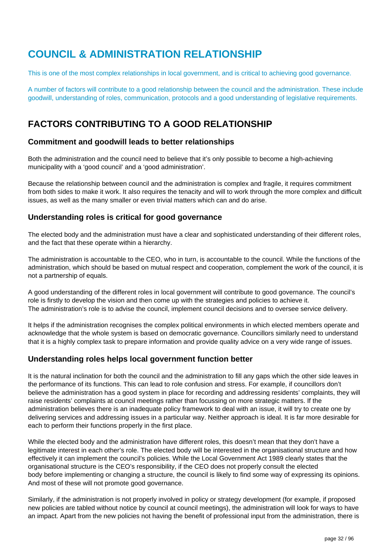# <span id="page-31-0"></span>**COUNCIL & ADMINISTRATION RELATIONSHIP**

This is one of the most complex relationships in local government, and is critical to achieving good governance.

A number of factors will contribute to a good relationship between the council and the administration. These include goodwill, understanding of roles, communication, protocols and a good understanding of legislative requirements.

# **FACTORS CONTRIBUTING TO A GOOD RELATIONSHIP**

### **Commitment and goodwill leads to better relationships**

Both the administration and the council need to believe that it's only possible to become a high-achieving municipality with a 'good council' and a 'good administration'.

Because the relationship between council and the administration is complex and fragile, it requires commitment from both sides to make it work. It also requires the tenacity and will to work through the more complex and difficult issues, as well as the many smaller or even trivial matters which can and do arise.

### **Understanding roles is critical for good governance**

The elected body and the administration must have a clear and sophisticated understanding of their different roles, and the fact that these operate within a hierarchy.

The administration is accountable to the CEO, who in turn, is accountable to the council. While the functions of the administration, which should be based on mutual respect and cooperation, complement the work of the council, it is not a partnership of equals.

A good understanding of the different roles in local government will contribute to good governance. The council's role is firstly to develop the vision and then come up with the strategies and policies to achieve it. The administration's role is to advise the council, implement council decisions and to oversee service delivery.

It helps if the administration recognises the complex political environments in which elected members operate and acknowledge that the whole system is based on democratic governance. Councillors similarly need to understand that it is a highly complex task to prepare information and provide quality advice on a very wide range of issues.

### **Understanding roles helps local government function better**

It is the natural inclination for both the council and the administration to fill any gaps which the other side leaves in the performance of its functions. This can lead to role confusion and stress. For example, if councillors don't believe the administration has a good system in place for recording and addressing residents' complaints, they will raise residents' complaints at council meetings rather than focussing on more strategic matters. If the administration believes there is an inadequate policy framework to deal with an issue, it will try to create one by delivering services and addressing issues in a particular way. Neither approach is ideal. It is far more desirable for each to perform their functions properly in the first place.

While the elected body and the administration have different roles, this doesn't mean that they don't have a legitimate interest in each other's role. The elected body will be interested in the organisational structure and how effectively it can implement the council's policies. While the Local Government Act 1989 clearly states that the organisational structure is the CEO's responsibility, if the CEO does not properly consult the elected body before implementing or changing a structure, the council is likely to find some way of expressing its opinions. And most of these will not promote good governance.

Similarly, if the administration is not properly involved in policy or strategy development (for example, if proposed new policies are tabled without notice by council at council meetings), the administration will look for ways to have an impact. Apart from the new policies not having the benefit of professional input from the administration, there is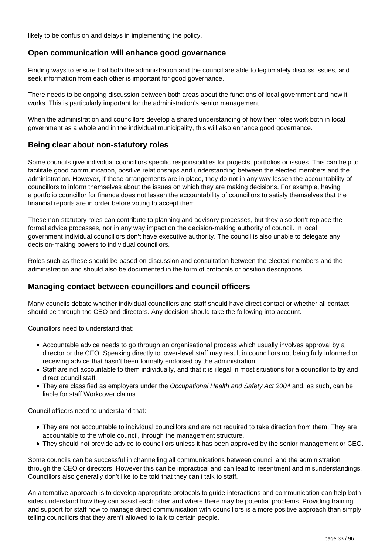likely to be confusion and delays in implementing the policy.

### **Open communication will enhance good governance**

Finding ways to ensure that both the administration and the council are able to legitimately discuss issues, and seek information from each other is important for good governance.

There needs to be ongoing discussion between both areas about the functions of local government and how it works. This is particularly important for the administration's senior management.

When the administration and councillors develop a shared understanding of how their roles work both in local government as a whole and in the individual municipality, this will also enhance good governance.

### **Being clear about non-statutory roles**

Some councils give individual councillors specific responsibilities for projects, portfolios or issues. This can help to facilitate good communication, positive relationships and understanding between the elected members and the administration. However, if these arrangements are in place, they do not in any way lessen the accountability of councillors to inform themselves about the issues on which they are making decisions. For example, having a portfolio councillor for finance does not lessen the accountability of councillors to satisfy themselves that the financial reports are in order before voting to accept them.

These non-statutory roles can contribute to planning and advisory processes, but they also don't replace the formal advice processes, nor in any way impact on the decision-making authority of council. In local government individual councillors don't have executive authority. The council is also unable to delegate any decision-making powers to individual councillors.

Roles such as these should be based on discussion and consultation between the elected members and the administration and should also be documented in the form of protocols or position descriptions.

### **Managing contact between councillors and council officers**

Many councils debate whether individual councillors and staff should have direct contact or whether all contact should be through the CEO and directors. Any decision should take the following into account.

Councillors need to understand that:

- Accountable advice needs to go through an organisational process which usually involves approval by a director or the CEO. Speaking directly to lower-level staff may result in councillors not being fully informed or receiving advice that hasn't been formally endorsed by the administration.
- Staff are not accountable to them individually, and that it is illegal in most situations for a councillor to try and direct council staff.
- They are classified as employers under the Occupational Health and Safety Act 2004 and, as such, can be liable for staff Workcover claims.

Council officers need to understand that:

- They are not accountable to individual councillors and are not required to take direction from them. They are accountable to the whole council, through the management structure.
- They should not provide advice to councillors unless it has been approved by the senior management or CEO.

Some councils can be successful in channelling all communications between council and the administration through the CEO or directors. However this can be impractical and can lead to resentment and misunderstandings. Councillors also generally don't like to be told that they can't talk to staff.

An alternative approach is to develop appropriate protocols to guide interactions and communication can help both sides understand how they can assist each other and where there may be potential problems. Providing training and support for staff how to manage direct communication with councillors is a more positive approach than simply telling councillors that they aren't allowed to talk to certain people.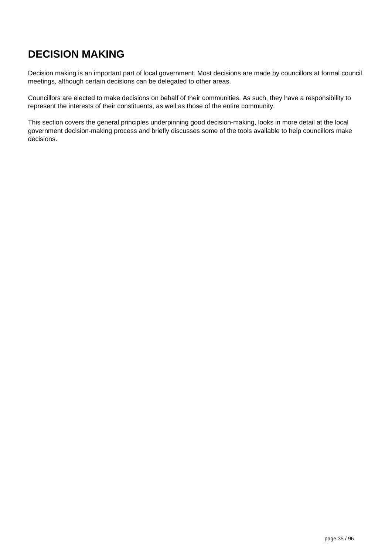# <span id="page-34-0"></span>**DECISION MAKING**

Decision making is an important part of local government. Most decisions are made by councillors at formal council meetings, although certain decisions can be delegated to other areas.

Councillors are elected to make decisions on behalf of their communities. As such, they have a responsibility to represent the interests of their constituents, as well as those of the entire community.

This section covers the general principles underpinning good decision-making, looks in more detail at the local government decision-making process and briefly discusses some of the tools available to help councillors make decisions.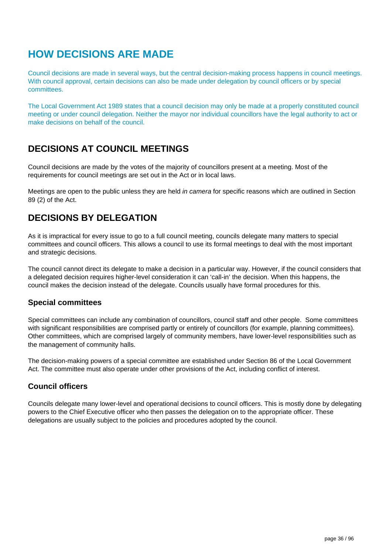# <span id="page-35-0"></span>**HOW DECISIONS ARE MADE**

Council decisions are made in several ways, but the central decision-making process happens in council meetings. With council approval, certain decisions can also be made under delegation by council officers or by special committees.

The Local Government Act 1989 states that a council decision may only be made at a properly constituted council meeting or under council delegation. Neither the mayor nor individual councillors have the legal authority to act or make decisions on behalf of the council.

## **DECISIONS AT COUNCIL MEETINGS**

Council decisions are made by the votes of the majority of councillors present at a meeting. Most of the requirements for council meetings are set out in the Act or in local laws.

Meetings are open to the public unless they are held in camera for specific reasons which are outlined in Section 89 (2) of the Act.

## **DECISIONS BY DELEGATION**

As it is impractical for every issue to go to a full council meeting, councils delegate many matters to special committees and council officers. This allows a council to use its formal meetings to deal with the most important and strategic decisions.

The council cannot direct its delegate to make a decision in a particular way. However, if the council considers that a delegated decision requires higher-level consideration it can 'call-in' the decision. When this happens, the council makes the decision instead of the delegate. Councils usually have formal procedures for this.

### **Special committees**

Special committees can include any combination of councillors, council staff and other people. Some committees with significant responsibilities are comprised partly or entirely of councillors (for example, planning committees). Other committees, which are comprised largely of community members, have lower-level responsibilities such as the management of community halls.

The decision-making powers of a special committee are established under Section 86 of the Local Government Act. The committee must also operate under other provisions of the Act, including conflict of interest.

### **Council officers**

Councils delegate many lower-level and operational decisions to council officers. This is mostly done by delegating powers to the Chief Executive officer who then passes the delegation on to the appropriate officer. These delegations are usually subject to the policies and procedures adopted by the council.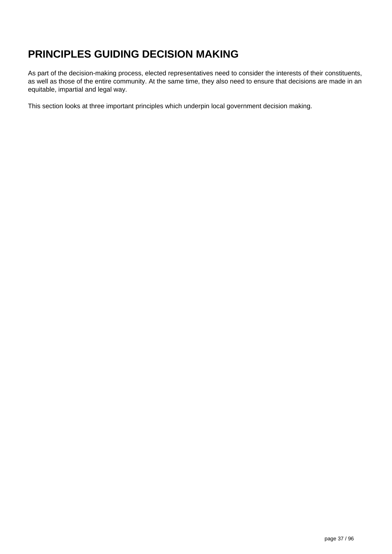# **PRINCIPLES GUIDING DECISION MAKING**

As part of the decision-making process, elected representatives need to consider the interests of their constituents, as well as those of the entire community. At the same time, they also need to ensure that decisions are made in an equitable, impartial and legal way.

This section looks at three important principles which underpin local government decision making.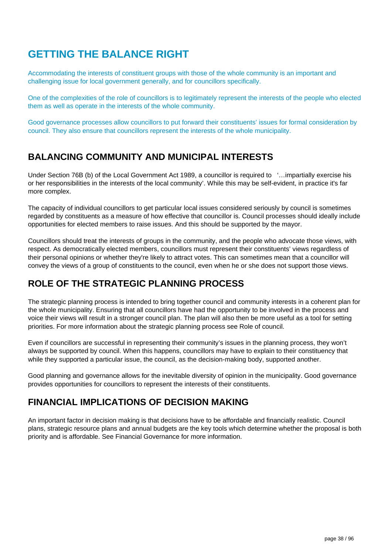# **GETTING THE BALANCE RIGHT**

Accommodating the interests of constituent groups with those of the whole community is an important and challenging issue for local government generally, and for councillors specifically.

One of the complexities of the role of councillors is to legitimately represent the interests of the people who elected them as well as operate in the interests of the whole community.

Good governance processes allow councillors to put forward their constituents' issues for formal consideration by council. They also ensure that councillors represent the interests of the whole municipality.

### **BALANCING COMMUNITY AND MUNICIPAL INTERESTS**

Under Section 76B (b) of the Local Government Act 1989, a councillor is required to '…impartially exercise his or her responsibilities in the interests of the local community'. While this may be self-evident, in practice it's far more complex.

The capacity of individual councillors to get particular local issues considered seriously by council is sometimes regarded by constituents as a measure of how effective that councillor is. Council processes should ideally include opportunities for elected members to raise issues. And this should be supported by the mayor.

Councillors should treat the interests of groups in the community, and the people who advocate those views, with respect. As democratically elected members, councillors must represent their constituents' views regardless of their personal opinions or whether they're likely to attract votes. This can sometimes mean that a councillor will convey the views of a group of constituents to the council, even when he or she does not support those views.

## **ROLE OF THE STRATEGIC PLANNING PROCESS**

The strategic planning process is intended to bring together council and community interests in a coherent plan for the whole municipality. Ensuring that all councillors have had the opportunity to be involved in the process and voice their views will result in a stronger council plan. The plan will also then be more useful as a tool for setting priorities. For more information about the strategic planning process see Role of council.

Even if councillors are successful in representing their community's issues in the planning process, they won't always be supported by council. When this happens, councillors may have to explain to their constituency that while they supported a particular issue, the council, as the decision-making body, supported another.

Good planning and governance allows for the inevitable diversity of opinion in the municipality. Good governance provides opportunities for councillors to represent the interests of their constituents.

### **FINANCIAL IMPLICATIONS OF DECISION MAKING**

An important factor in decision making is that decisions have to be affordable and financially realistic. Council plans, strategic resource plans and annual budgets are the key tools which determine whether the proposal is both priority and is affordable. See Financial Governance for more information.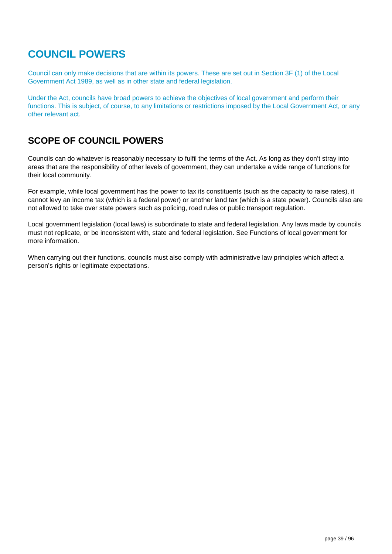## **COUNCIL POWERS**

Council can only make decisions that are within its powers. These are set out in Section 3F (1) of the Local Government Act 1989, as well as in other state and federal legislation.

Under the Act, councils have broad powers to achieve the objectives of local government and perform their functions. This is subject, of course, to any limitations or restrictions imposed by the Local Government Act, or any other relevant act.

### **SCOPE OF COUNCIL POWERS**

Councils can do whatever is reasonably necessary to fulfil the terms of the Act. As long as they don't stray into areas that are the responsibility of other levels of government, they can undertake a wide range of functions for their local community.

For example, while local government has the power to tax its constituents (such as the capacity to raise rates), it cannot levy an income tax (which is a federal power) or another land tax (which is a state power). Councils also are not allowed to take over state powers such as policing, road rules or public transport regulation.

Local government legislation (local laws) is subordinate to state and federal legislation. Any laws made by councils must not replicate, or be inconsistent with, state and federal legislation. See Functions of local government for more information.

When carrying out their functions, councils must also comply with administrative law principles which affect a person's rights or legitimate expectations.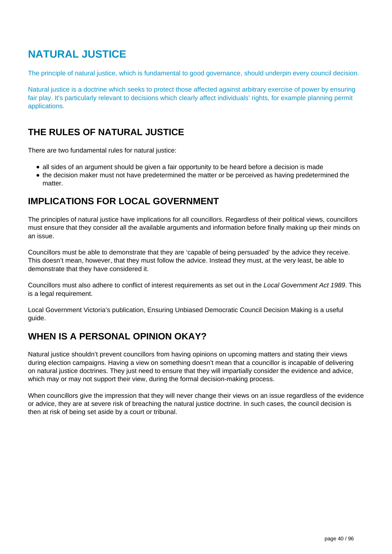## **NATURAL JUSTICE**

The principle of natural justice, which is fundamental to good governance, should underpin every council decision.

Natural justice is a doctrine which seeks to protect those affected against arbitrary exercise of power by ensuring fair play. It's particularly relevant to decisions which clearly affect individuals' rights, for example planning permit applications.

## **THE RULES OF NATURAL JUSTICE**

There are two fundamental rules for natural justice:

- all sides of an argument should be given a fair opportunity to be heard before a decision is made
- the decision maker must not have predetermined the matter or be perceived as having predetermined the matter.

### **IMPLICATIONS FOR LOCAL GOVERNMENT**

The principles of natural justice have implications for all councillors. Regardless of their political views, councillors must ensure that they consider all the available arguments and information before finally making up their minds on an issue.

Councillors must be able to demonstrate that they are 'capable of being persuaded' by the advice they receive. This doesn't mean, however, that they must follow the advice. Instead they must, at the very least, be able to demonstrate that they have considered it.

Councillors must also adhere to conflict of interest requirements as set out in the Local Government Act 1989. This is a legal requirement.

Local Government Victoria's publication, Ensuring Unbiased Democratic Council Decision Making is a useful guide.

## **WHEN IS A PERSONAL OPINION OKAY?**

Natural justice shouldn't prevent councillors from having opinions on upcoming matters and stating their views during election campaigns. Having a view on something doesn't mean that a councillor is incapable of delivering on natural justice doctrines. They just need to ensure that they will impartially consider the evidence and advice, which may or may not support their view, during the formal decision-making process.

When councillors give the impression that they will never change their views on an issue regardless of the evidence or advice, they are at severe risk of breaching the natural justice doctrine. In such cases, the council decision is then at risk of being set aside by a court or tribunal.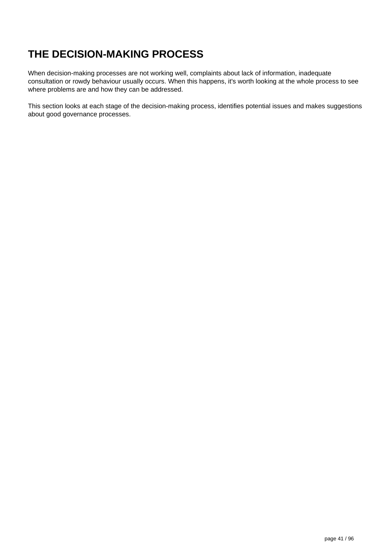# **THE DECISION-MAKING PROCESS**

When decision-making processes are not working well, complaints about lack of information, inadequate consultation or rowdy behaviour usually occurs. When this happens, it's worth looking at the whole process to see where problems are and how they can be addressed.

This section looks at each stage of the decision-making process, identifies potential issues and makes suggestions about good governance processes.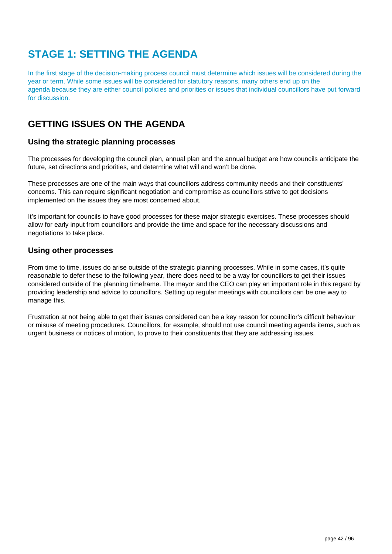# **STAGE 1: SETTING THE AGENDA**

In the first stage of the decision-making process council must determine which issues will be considered during the year or term. While some issues will be considered for statutory reasons, many others end up on the agenda because they are either council policies and priorities or issues that individual councillors have put forward for discussion.

## **GETTING ISSUES ON THE AGENDA**

### **Using the strategic planning processes**

The processes for developing the council plan, annual plan and the annual budget are how councils anticipate the future, set directions and priorities, and determine what will and won't be done.

These processes are one of the main ways that councillors address community needs and their constituents' concerns. This can require significant negotiation and compromise as councillors strive to get decisions implemented on the issues they are most concerned about.

It's important for councils to have good processes for these major strategic exercises. These processes should allow for early input from councillors and provide the time and space for the necessary discussions and negotiations to take place.

### **Using other processes**

From time to time, issues do arise outside of the strategic planning processes. While in some cases, it's quite reasonable to defer these to the following year, there does need to be a way for councillors to get their issues considered outside of the planning timeframe. The mayor and the CEO can play an important role in this regard by providing leadership and advice to councillors. Setting up regular meetings with councillors can be one way to manage this.

Frustration at not being able to get their issues considered can be a key reason for councillor's difficult behaviour or misuse of meeting procedures. Councillors, for example, should not use council meeting agenda items, such as urgent business or notices of motion, to prove to their constituents that they are addressing issues.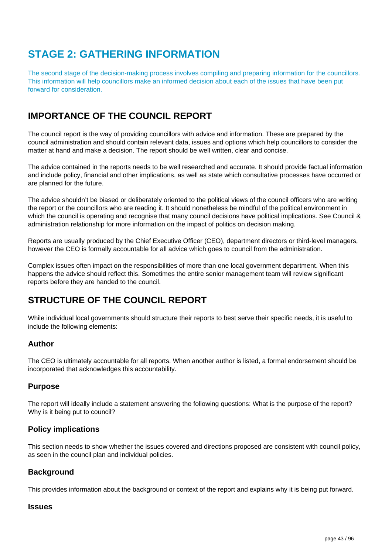# **STAGE 2: GATHERING INFORMATION**

The second stage of the decision-making process involves compiling and preparing information for the councillors. This information will help councillors make an informed decision about each of the issues that have been put forward for consideration.

## **IMPORTANCE OF THE COUNCIL REPORT**

The council report is the way of providing councillors with advice and information. These are prepared by the council administration and should contain relevant data, issues and options which help councillors to consider the matter at hand and make a decision. The report should be well written, clear and concise.

The advice contained in the reports needs to be well researched and accurate. It should provide factual information and include policy, financial and other implications, as well as state which consultative processes have occurred or are planned for the future.

The advice shouldn't be biased or deliberately oriented to the political views of the council officers who are writing the report or the councillors who are reading it. It should nonetheless be mindful of the political environment in which the council is operating and recognise that many council decisions have political implications. See Council & administration relationship for more information on the impact of politics on decision making.

Reports are usually produced by the Chief Executive Officer (CEO), department directors or third-level managers, however the CEO is formally accountable for all advice which goes to council from the administration.

Complex issues often impact on the responsibilities of more than one local government department. When this happens the advice should reflect this. Sometimes the entire senior management team will review significant reports before they are handed to the council.

## **STRUCTURE OF THE COUNCIL REPORT**

While individual local governments should structure their reports to best serve their specific needs, it is useful to include the following elements:

### **Author**

The CEO is ultimately accountable for all reports. When another author is listed, a formal endorsement should be incorporated that acknowledges this accountability.

#### **Purpose**

The report will ideally include a statement answering the following questions: What is the purpose of the report? Why is it being put to council?

### **Policy implications**

This section needs to show whether the issues covered and directions proposed are consistent with council policy, as seen in the council plan and individual policies.

#### **Background**

This provides information about the background or context of the report and explains why it is being put forward.

#### **Issues**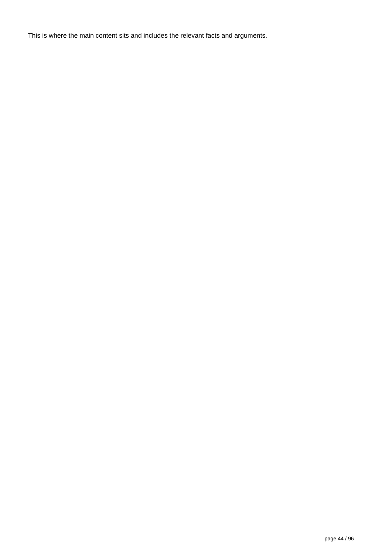This is where the main content sits and includes the relevant facts and arguments.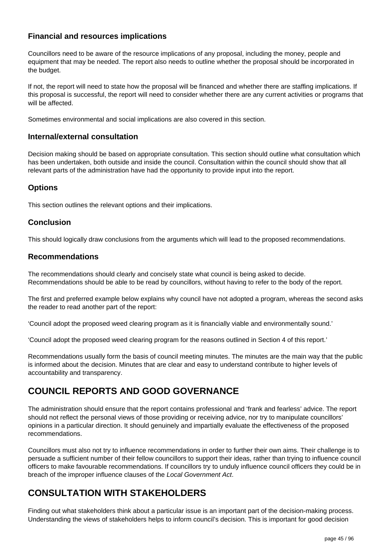### **Financial and resources implications**

Councillors need to be aware of the resource implications of any proposal, including the money, people and equipment that may be needed. The report also needs to outline whether the proposal should be incorporated in the budget.

If not, the report will need to state how the proposal will be financed and whether there are staffing implications. If this proposal is successful, the report will need to consider whether there are any current activities or programs that will be affected.

Sometimes environmental and social implications are also covered in this section.

#### **Internal/external consultation**

Decision making should be based on appropriate consultation. This section should outline what consultation which has been undertaken, both outside and inside the council. Consultation within the council should show that all relevant parts of the administration have had the opportunity to provide input into the report.

#### **Options**

This section outlines the relevant options and their implications.

#### **Conclusion**

This should logically draw conclusions from the arguments which will lead to the proposed recommendations.

#### **Recommendations**

The recommendations should clearly and concisely state what council is being asked to decide. Recommendations should be able to be read by councillors, without having to refer to the body of the report.

The first and preferred example below explains why council have not adopted a program, whereas the second asks the reader to read another part of the report:

'Council adopt the proposed weed clearing program as it is financially viable and environmentally sound.'

'Council adopt the proposed weed clearing program for the reasons outlined in Section 4 of this report.'

Recommendations usually form the basis of council meeting minutes. The minutes are the main way that the public is informed about the decision. Minutes that are clear and easy to understand contribute to higher levels of accountability and transparency.

## **COUNCIL REPORTS AND GOOD GOVERNANCE**

The administration should ensure that the report contains professional and 'frank and fearless' advice. The report should not reflect the personal views of those providing or receiving advice, nor try to manipulate councillors' opinions in a particular direction. It should genuinely and impartially evaluate the effectiveness of the proposed recommendations.

Councillors must also not try to influence recommendations in order to further their own aims. Their challenge is to persuade a sufficient number of their fellow councillors to support their ideas, rather than trying to influence council officers to make favourable recommendations. If councillors try to unduly influence council officers they could be in breach of the improper influence clauses of the Local Government Act.

### **CONSULTATION WITH STAKEHOLDERS**

Finding out what stakeholders think about a particular issue is an important part of the decision-making process. Understanding the views of stakeholders helps to inform council's decision. This is important for good decision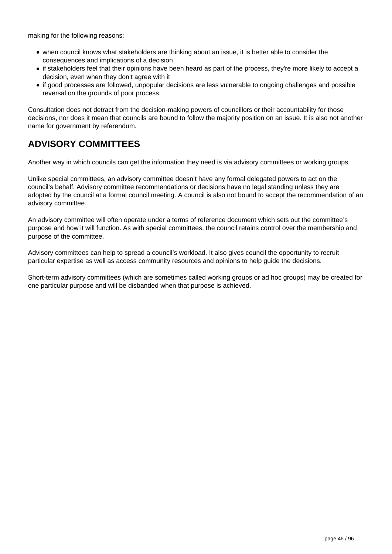making for the following reasons:

- when council knows what stakeholders are thinking about an issue, it is better able to consider the consequences and implications of a decision
- if stakeholders feel that their opinions have been heard as part of the process, they're more likely to accept a decision, even when they don't agree with it
- if good processes are followed, unpopular decisions are less vulnerable to ongoing challenges and possible reversal on the grounds of poor process.

Consultation does not detract from the decision-making powers of councillors or their accountability for those decisions, nor does it mean that councils are bound to follow the majority position on an issue. It is also not another name for government by referendum.

## **ADVISORY COMMITTEES**

Another way in which councils can get the information they need is via advisory committees or working groups.

Unlike special committees, an advisory committee doesn't have any formal delegated powers to act on the council's behalf. Advisory committee recommendations or decisions have no legal standing unless they are adopted by the council at a formal council meeting. A council is also not bound to accept the recommendation of an advisory committee.

An advisory committee will often operate under a terms of reference document which sets out the committee's purpose and how it will function. As with special committees, the council retains control over the membership and purpose of the committee.

Advisory committees can help to spread a council's workload. It also gives council the opportunity to recruit particular expertise as well as access community resources and opinions to help guide the decisions.

Short-term advisory committees (which are sometimes called working groups or ad hoc groups) may be created for one particular purpose and will be disbanded when that purpose is achieved.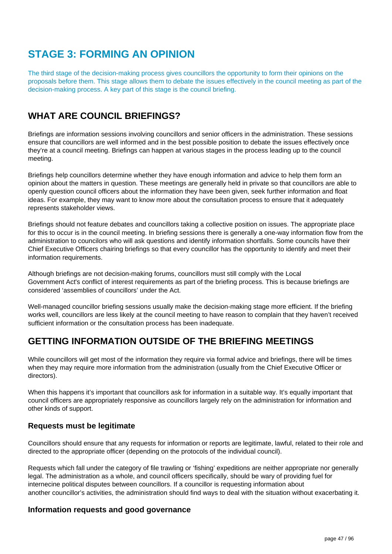# **STAGE 3: FORMING AN OPINION**

The third stage of the decision-making process gives councillors the opportunity to form their opinions on the proposals before them. This stage allows them to debate the issues effectively in the council meeting as part of the decision-making process. A key part of this stage is the council briefing.

## **WHAT ARE COUNCIL BRIEFINGS?**

Briefings are information sessions involving councillors and senior officers in the administration. These sessions ensure that councillors are well informed and in the best possible position to debate the issues effectively once they're at a council meeting. Briefings can happen at various stages in the process leading up to the council meeting.

Briefings help councillors determine whether they have enough information and advice to help them form an opinion about the matters in question. These meetings are generally held in private so that councillors are able to openly question council officers about the information they have been given, seek further information and float ideas. For example, they may want to know more about the consultation process to ensure that it adequately represents stakeholder views.

Briefings should not feature debates and councillors taking a collective position on issues. The appropriate place for this to occur is in the council meeting. In briefing sessions there is generally a one-way information flow from the administration to councilors who will ask questions and identify information shortfalls. Some councils have their Chief Executive Officers chairing briefings so that every councillor has the opportunity to identify and meet their information requirements.

Although briefings are not decision-making forums, councillors must still comply with the Local Government Act's conflict of interest requirements as part of the briefing process. This is because briefings are considered 'assemblies of councillors' under the Act.

Well-managed councillor briefing sessions usually make the decision-making stage more efficient. If the briefing works well, councillors are less likely at the council meeting to have reason to complain that they haven't received sufficient information or the consultation process has been inadequate.

## **GETTING INFORMATION OUTSIDE OF THE BRIEFING MEETINGS**

While councillors will get most of the information they require via formal advice and briefings, there will be times when they may require more information from the administration (usually from the Chief Executive Officer or directors).

When this happens it's important that councillors ask for information in a suitable way. It's equally important that council officers are appropriately responsive as councillors largely rely on the administration for information and other kinds of support.

### **Requests must be legitimate**

Councillors should ensure that any requests for information or reports are legitimate, lawful, related to their role and directed to the appropriate officer (depending on the protocols of the individual council).

Requests which fall under the category of file trawling or 'fishing' expeditions are neither appropriate nor generally legal. The administration as a whole, and council officers specifically, should be wary of providing fuel for internecine political disputes between councillors. If a councillor is requesting information about another councillor's activities, the administration should find ways to deal with the situation without exacerbating it.

#### **Information requests and good governance**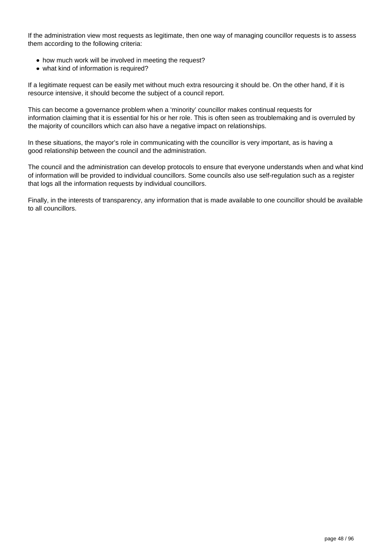If the administration view most requests as legitimate, then one way of managing councillor requests is to assess them according to the following criteria:

- how much work will be involved in meeting the request?
- what kind of information is required?

If a legitimate request can be easily met without much extra resourcing it should be. On the other hand, if it is resource intensive, it should become the subject of a council report.

This can become a governance problem when a 'minority' councillor makes continual requests for information claiming that it is essential for his or her role. This is often seen as troublemaking and is overruled by the majority of councillors which can also have a negative impact on relationships.

In these situations, the mayor's role in communicating with the councillor is very important, as is having a good relationship between the council and the administration.

The council and the administration can develop protocols to ensure that everyone understands when and what kind of information will be provided to individual councillors. Some councils also use self-regulation such as a register that logs all the information requests by individual councillors.

Finally, in the interests of transparency, any information that is made available to one councillor should be available to all councillors.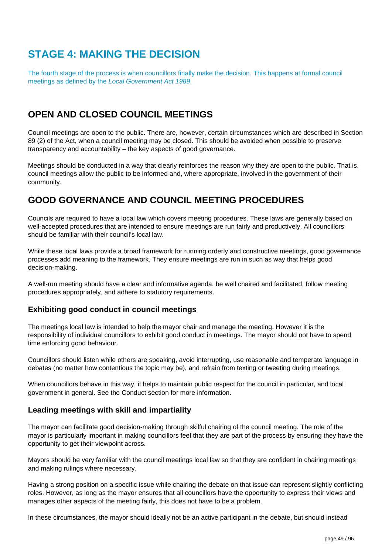## **STAGE 4: MAKING THE DECISION**

The fourth stage of the process is when councillors finally make the decision. This happens at formal council meetings as defined by the Local Government Act 1989.

## **OPEN AND CLOSED COUNCIL MEETINGS**

Council meetings are open to the public. There are, however, certain circumstances which are described in Section 89 (2) of the Act, when a council meeting may be closed. This should be avoided when possible to preserve transparency and accountability – the key aspects of good governance.

Meetings should be conducted in a way that clearly reinforces the reason why they are open to the public. That is, council meetings allow the public to be informed and, where appropriate, involved in the government of their community.

### **GOOD GOVERNANCE AND COUNCIL MEETING PROCEDURES**

Councils are required to have a local law which covers meeting procedures. These laws are generally based on well-accepted procedures that are intended to ensure meetings are run fairly and productively. All councillors should be familiar with their council's local law.

While these local laws provide a broad framework for running orderly and constructive meetings, good governance processes add meaning to the framework. They ensure meetings are run in such as way that helps good decision-making.

A well-run meeting should have a clear and informative agenda, be well chaired and facilitated, follow meeting procedures appropriately, and adhere to statutory requirements.

### **Exhibiting good conduct in council meetings**

The meetings local law is intended to help the mayor chair and manage the meeting. However it is the responsibility of individual councillors to exhibit good conduct in meetings. The mayor should not have to spend time enforcing good behaviour.

Councillors should listen while others are speaking, avoid interrupting, use reasonable and temperate language in debates (no matter how contentious the topic may be), and refrain from texting or tweeting during meetings.

When councillors behave in this way, it helps to maintain public respect for the council in particular, and local government in general. See the Conduct section for more information.

### **Leading meetings with skill and impartiality**

The mayor can facilitate good decision-making through skilful chairing of the council meeting. The role of the mayor is particularly important in making councillors feel that they are part of the process by ensuring they have the opportunity to get their viewpoint across.

Mayors should be very familiar with the council meetings local law so that they are confident in chairing meetings and making rulings where necessary.

Having a strong position on a specific issue while chairing the debate on that issue can represent slightly conflicting roles. However, as long as the mayor ensures that all councillors have the opportunity to express their views and manages other aspects of the meeting fairly, this does not have to be a problem.

In these circumstances, the mayor should ideally not be an active participant in the debate, but should instead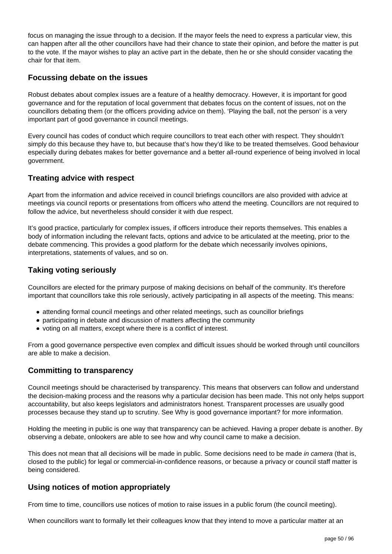focus on managing the issue through to a decision. If the mayor feels the need to express a particular view, this can happen after all the other councillors have had their chance to state their opinion, and before the matter is put to the vote. If the mayor wishes to play an active part in the debate, then he or she should consider vacating the chair for that item.

### **Focussing debate on the issues**

Robust debates about complex issues are a feature of a healthy democracy. However, it is important for good governance and for the reputation of local government that debates focus on the content of issues, not on the councillors debating them (or the officers providing advice on them). 'Playing the ball, not the person' is a very important part of good governance in council meetings.

Every council has codes of conduct which require councillors to treat each other with respect. They shouldn't simply do this because they have to, but because that's how they'd like to be treated themselves. Good behaviour especially during debates makes for better governance and a better all-round experience of being involved in local government.

### **Treating advice with respect**

Apart from the information and advice received in council briefings councillors are also provided with advice at meetings via council reports or presentations from officers who attend the meeting. Councillors are not required to follow the advice, but nevertheless should consider it with due respect.

It's good practice, particularly for complex issues, if officers introduce their reports themselves. This enables a body of information including the relevant facts, options and advice to be articulated at the meeting, prior to the debate commencing. This provides a good platform for the debate which necessarily involves opinions, interpretations, statements of values, and so on.

### **Taking voting seriously**

Councillors are elected for the primary purpose of making decisions on behalf of the community. It's therefore important that councillors take this role seriously, actively participating in all aspects of the meeting. This means:

- attending formal council meetings and other related meetings, such as councillor briefings
- participating in debate and discussion of matters affecting the community
- voting on all matters, except where there is a conflict of interest.

From a good governance perspective even complex and difficult issues should be worked through until councillors are able to make a decision.

### **Committing to transparency**

Council meetings should be characterised by transparency. This means that observers can follow and understand the decision-making process and the reasons why a particular decision has been made. This not only helps support accountability, but also keeps legislators and administrators honest. Transparent processes are usually good processes because they stand up to scrutiny. See Why is good governance important? for more information.

Holding the meeting in public is one way that transparency can be achieved. Having a proper debate is another. By observing a debate, onlookers are able to see how and why council came to make a decision.

This does not mean that all decisions will be made in public. Some decisions need to be made in camera (that is, closed to the public) for legal or commercial-in-confidence reasons, or because a privacy or council staff matter is being considered.

### **Using notices of motion appropriately**

From time to time, councillors use notices of motion to raise issues in a public forum (the council meeting).

When councillors want to formally let their colleagues know that they intend to move a particular matter at an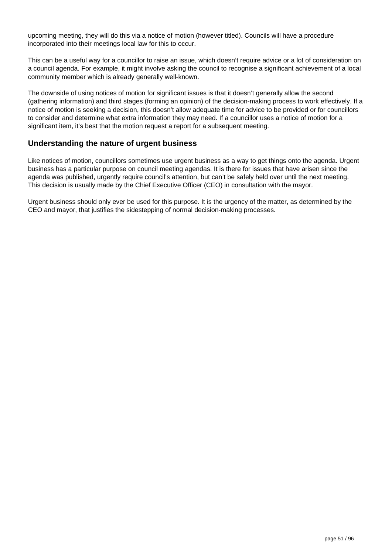upcoming meeting, they will do this via a notice of motion (however titled). Councils will have a procedure incorporated into their meetings local law for this to occur.

This can be a useful way for a councillor to raise an issue, which doesn't require advice or a lot of consideration on a council agenda. For example, it might involve asking the council to recognise a significant achievement of a local community member which is already generally well-known.

The downside of using notices of motion for significant issues is that it doesn't generally allow the second (gathering information) and third stages (forming an opinion) of the decision-making process to work effectively. If a notice of motion is seeking a decision, this doesn't allow adequate time for advice to be provided or for councillors to consider and determine what extra information they may need. If a councillor uses a notice of motion for a significant item, it's best that the motion request a report for a subsequent meeting.

#### **Understanding the nature of urgent business**

Like notices of motion, councillors sometimes use urgent business as a way to get things onto the agenda. Urgent business has a particular purpose on council meeting agendas. It is there for issues that have arisen since the agenda was published, urgently require council's attention, but can't be safely held over until the next meeting. This decision is usually made by the Chief Executive Officer (CEO) in consultation with the mayor.

Urgent business should only ever be used for this purpose. It is the urgency of the matter, as determined by the CEO and mayor, that justifies the sidestepping of normal decision-making processes.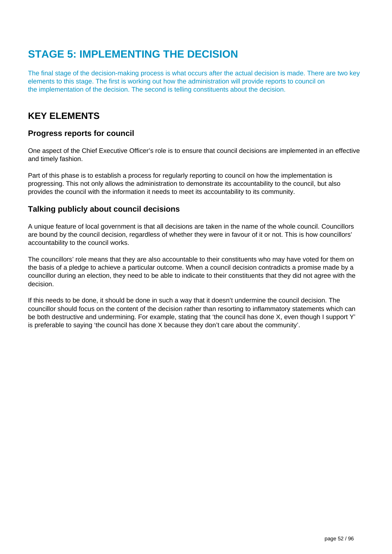# **STAGE 5: IMPLEMENTING THE DECISION**

The final stage of the decision-making process is what occurs after the actual decision is made. There are two key elements to this stage. The first is working out how the administration will provide reports to council on the implementation of the decision. The second is telling constituents about the decision.

### **KEY ELEMENTS**

### **Progress reports for council**

One aspect of the Chief Executive Officer's role is to ensure that council decisions are implemented in an effective and timely fashion.

Part of this phase is to establish a process for regularly reporting to council on how the implementation is progressing. This not only allows the administration to demonstrate its accountability to the council, but also provides the council with the information it needs to meet its accountability to its community.

#### **Talking publicly about council decisions**

A unique feature of local government is that all decisions are taken in the name of the whole council. Councillors are bound by the council decision, regardless of whether they were in favour of it or not. This is how councillors' accountability to the council works.

The councillors' role means that they are also accountable to their constituents who may have voted for them on the basis of a pledge to achieve a particular outcome. When a council decision contradicts a promise made by a councillor during an election, they need to be able to indicate to their constituents that they did not agree with the decision.

If this needs to be done, it should be done in such a way that it doesn't undermine the council decision. The councillor should focus on the content of the decision rather than resorting to inflammatory statements which can be both destructive and undermining. For example, stating that 'the council has done X, even though I support Y' is preferable to saying 'the council has done X because they don't care about the community'.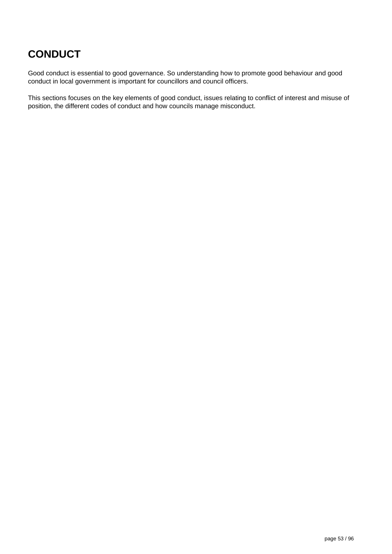# **CONDUCT**

Good conduct is essential to good governance. So understanding how to promote good behaviour and good conduct in local government is important for councillors and council officers.

This sections focuses on the key elements of good conduct, issues relating to conflict of interest and misuse of position, the different codes of conduct and how councils manage misconduct.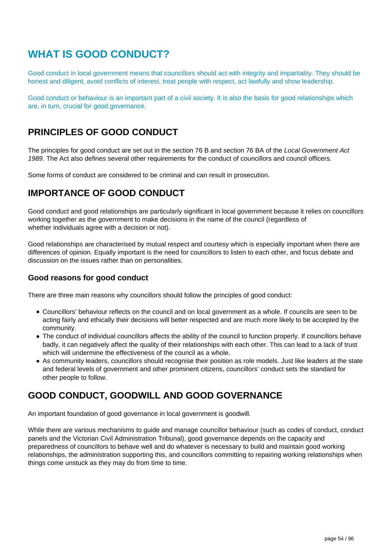## **WHAT IS GOOD CONDUCT?**

Good conduct in local government means that councillors should act with integrity and impartiality. They should be honest and diligent, avoid conflicts of interest, treat people with respect, act lawfully and show leadership.

Good conduct or behaviour is an important part of a civil society. It is also the basis for good relationships which are, in turn, crucial for good governance.

### **PRINCIPLES OF GOOD CONDUCT**

The principles for good conduct are set out in the section 76 B and section 76 BA of the Local Government Act 1989. The Act also defines several other requirements for the conduct of councillors and council officers.

Some forms of conduct are considered to be criminal and can result in prosecution.

### **IMPORTANCE OF GOOD CONDUCT**

Good conduct and good relationships are particularly significant in local government because it relies on councillors working together as the government to make decisions in the name of the council (regardless of whether individuals agree with a decision or not).

Good relationships are characterised by mutual respect and courtesy which is especially important when there are differences of opinion. Equally important is the need for councillors to listen to each other, and focus debate and discussion on the issues rather than on personalities.

#### **Good reasons for good conduct**

There are three main reasons why councillors should follow the principles of good conduct:

- Councillors' behaviour reflects on the council and on local government as a whole. If councils are seen to be acting fairly and ethically their decisions will better respected and are much more likely to be accepted by the community.
- The conduct of individual councillors affects the ability of the council to function properly. If councillors behave badly, it can negatively affect the quality of their relationships with each other. This can lead to a lack of trust which will undermine the effectiveness of the council as a whole.
- As community leaders, councillors should recognise their position as role models. Just like leaders at the state and federal levels of government and other prominent citizens, councillors' conduct sets the standard for other people to follow.

## **GOOD CONDUCT, GOODWILL AND GOOD GOVERNANCE**

An important foundation of good governance in local government is goodwill.

While there are various mechanisms to guide and manage councillor behaviour (such as codes of conduct, conduct panels and the Victorian Civil Administration Tribunal), good governance depends on the capacity and preparedness of councillors to behave well and do whatever is necessary to build and maintain good working relationships, the administration supporting this, and councillors committing to repairing working relationships when things come unstuck as they may do from time to time.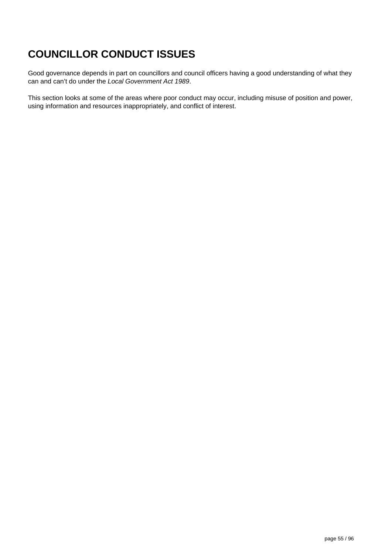# **COUNCILLOR CONDUCT ISSUES**

Good governance depends in part on councillors and council officers having a good understanding of what they can and can't do under the Local Government Act 1989.

This section looks at some of the areas where poor conduct may occur, including misuse of position and power, using information and resources inappropriately, and conflict of interest.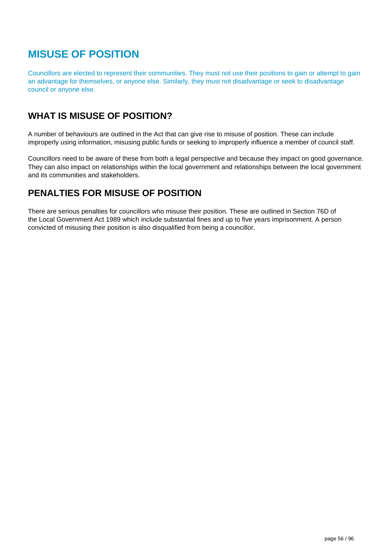# **MISUSE OF POSITION**

Councillors are elected to represent their communities. They must not use their positions to gain or attempt to gain an advantage for themselves, or anyone else. Similarly, they must not disadvantage or seek to disadvantage council or anyone else.

## **WHAT IS MISUSE OF POSITION?**

A number of behaviours are outlined in the Act that can give rise to misuse of position. These can include improperly using information, misusing public funds or seeking to improperly influence a member of council staff.

Councillors need to be aware of these from both a legal perspective and because they impact on good governance. They can also impact on relationships within the local government and relationships between the local government and its communities and stakeholders.

## **PENALTIES FOR MISUSE OF POSITION**

There are serious penalties for councillors who misuse their position. These are outlined in Section 76D of the Local Government Act 1989 which include substantial fines and up to five years imprisonment. A person convicted of misusing their position is also disqualified from being a councillor.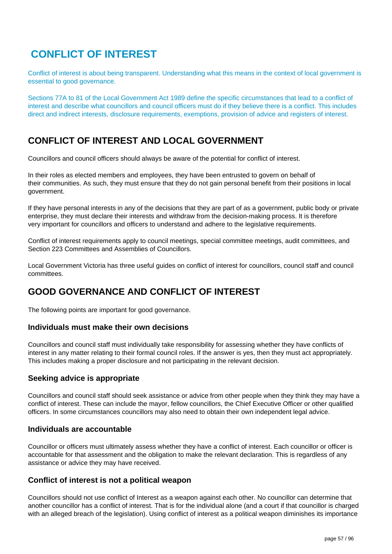## **CONFLICT OF INTEREST**

Conflict of interest is about being transparent. Understanding what this means in the context of local government is essential to good governance.

Sections 77A to 81 of the Local Government Act 1989 define the specific circumstances that lead to a conflict of interest and describe what councillors and council officers must do if they believe there is a conflict. This includes direct and indirect interests, disclosure requirements, exemptions, provision of advice and registers of interest.

## **CONFLICT OF INTEREST AND LOCAL GOVERNMENT**

Councillors and council officers should always be aware of the potential for conflict of interest.

In their roles as elected members and employees, they have been entrusted to govern on behalf of their communities. As such, they must ensure that they do not gain personal benefit from their positions in local government.

If they have personal interests in any of the decisions that they are part of as a government, public body or private enterprise, they must declare their interests and withdraw from the decision-making process. It is therefore very important for councillors and officers to understand and adhere to the legislative requirements.

Conflict of interest requirements apply to council meetings, special committee meetings, audit committees, and Section 223 Committees and Assemblies of Councillors.

Local Government Victoria has three useful guides on conflict of interest for councillors, council staff and council committees.

## **GOOD GOVERNANCE AND CONFLICT OF INTEREST**

The following points are important for good governance.

#### **Individuals must make their own decisions**

Councillors and council staff must individually take responsibility for assessing whether they have conflicts of interest in any matter relating to their formal council roles. If the answer is yes, then they must act appropriately. This includes making a proper disclosure and not participating in the relevant decision.

### **Seeking advice is appropriate**

Councillors and council staff should seek assistance or advice from other people when they think they may have a conflict of interest. These can include the mayor, fellow councillors, the Chief Executive Officer or other qualified officers. In some circumstances councillors may also need to obtain their own independent legal advice.

#### **Individuals are accountable**

Councillor or officers must ultimately assess whether they have a conflict of interest. Each councillor or officer is accountable for that assessment and the obligation to make the relevant declaration. This is regardless of any assistance or advice they may have received.

### **Conflict of interest is not a political weapon**

Councillors should not use conflict of Interest as a weapon against each other. No councillor can determine that another councillor has a conflict of interest. That is for the individual alone (and a court if that councillor is charged with an alleged breach of the legislation). Using conflict of interest as a political weapon diminishes its importance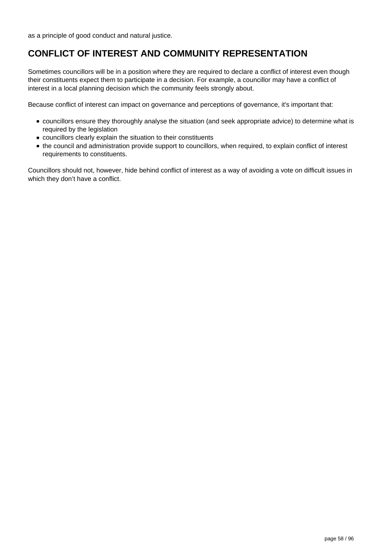as a principle of good conduct and natural justice.

## **CONFLICT OF INTEREST AND COMMUNITY REPRESENTATION**

Sometimes councillors will be in a position where they are required to declare a conflict of interest even though their constituents expect them to participate in a decision. For example, a councillor may have a conflict of interest in a local planning decision which the community feels strongly about.

Because conflict of interest can impact on governance and perceptions of governance, it's important that:

- councillors ensure they thoroughly analyse the situation (and seek appropriate advice) to determine what is required by the legislation
- councillors clearly explain the situation to their constituents
- the council and administration provide support to councillors, when required, to explain conflict of interest requirements to constituents.

Councillors should not, however, hide behind conflict of interest as a way of avoiding a vote on difficult issues in which they don't have a conflict.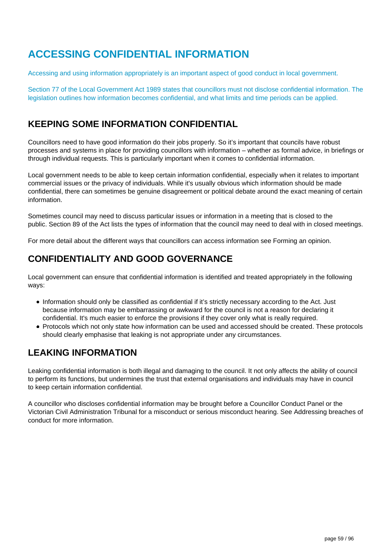## **ACCESSING CONFIDENTIAL INFORMATION**

Accessing and using information appropriately is an important aspect of good conduct in local government.

Section 77 of the Local Government Act 1989 states that councillors must not disclose confidential information. The legislation outlines how information becomes confidential, and what limits and time periods can be applied.

### **KEEPING SOME INFORMATION CONFIDENTIAL**

Councillors need to have good information do their jobs properly. So it's important that councils have robust processes and systems in place for providing councillors with information – whether as formal advice, in briefings or through individual requests. This is particularly important when it comes to confidential information.

Local government needs to be able to keep certain information confidential, especially when it relates to important commercial issues or the privacy of individuals. While it's usually obvious which information should be made confidential, there can sometimes be genuine disagreement or political debate around the exact meaning of certain information.

Sometimes council may need to discuss particular issues or information in a meeting that is closed to the public. Section 89 of the Act lists the types of information that the council may need to deal with in closed meetings.

For more detail about the different ways that councillors can access information see Forming an opinion.

### **CONFIDENTIALITY AND GOOD GOVERNANCE**

Local government can ensure that confidential information is identified and treated appropriately in the following ways:

- Information should only be classified as confidential if it's strictly necessary according to the Act. Just because information may be embarrassing or awkward for the council is not a reason for declaring it confidential. It's much easier to enforce the provisions if they cover only what is really required.
- Protocols which not only state how information can be used and accessed should be created. These protocols should clearly emphasise that leaking is not appropriate under any circumstances.

### **LEAKING INFORMATION**

Leaking confidential information is both illegal and damaging to the council. It not only affects the ability of council to perform its functions, but undermines the trust that external organisations and individuals may have in council to keep certain information confidential.

A councillor who discloses confidential information may be brought before a Councillor Conduct Panel or the Victorian Civil Administration Tribunal for a misconduct or serious misconduct hearing. See Addressing breaches of conduct for more information.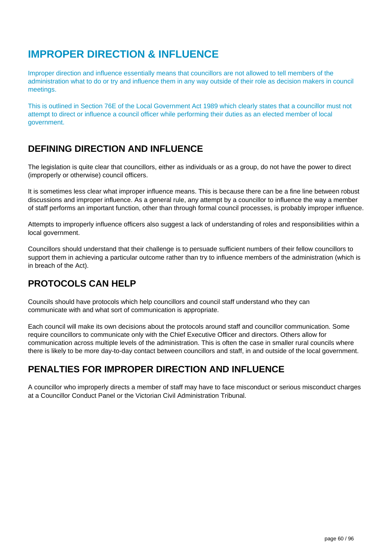## **IMPROPER DIRECTION & INFLUENCE**

Improper direction and influence essentially means that councillors are not allowed to tell members of the administration what to do or try and influence them in any way outside of their role as decision makers in council meetings.

This is outlined in Section 76E of the Local Government Act 1989 which clearly states that a councillor must not attempt to direct or influence a council officer while performing their duties as an elected member of local government.

## **DEFINING DIRECTION AND INFLUENCE**

The legislation is quite clear that councillors, either as individuals or as a group, do not have the power to direct (improperly or otherwise) council officers.

It is sometimes less clear what improper influence means. This is because there can be a fine line between robust discussions and improper influence. As a general rule, any attempt by a councillor to influence the way a member of staff performs an important function, other than through formal council processes, is probably improper influence.

Attempts to improperly influence officers also suggest a lack of understanding of roles and responsibilities within a local government.

Councillors should understand that their challenge is to persuade sufficient numbers of their fellow councillors to support them in achieving a particular outcome rather than try to influence members of the administration (which is in breach of the Act).

## **PROTOCOLS CAN HELP**

Councils should have protocols which help councillors and council staff understand who they can communicate with and what sort of communication is appropriate.

Each council will make its own decisions about the protocols around staff and councillor communication. Some require councillors to communicate only with the Chief Executive Officer and directors. Others allow for communication across multiple levels of the administration. This is often the case in smaller rural councils where there is likely to be more day-to-day contact between councillors and staff, in and outside of the local government.

## **PENALTIES FOR IMPROPER DIRECTION AND INFLUENCE**

A councillor who improperly directs a member of staff may have to face misconduct or serious misconduct charges at a Councillor Conduct Panel or the Victorian Civil Administration Tribunal.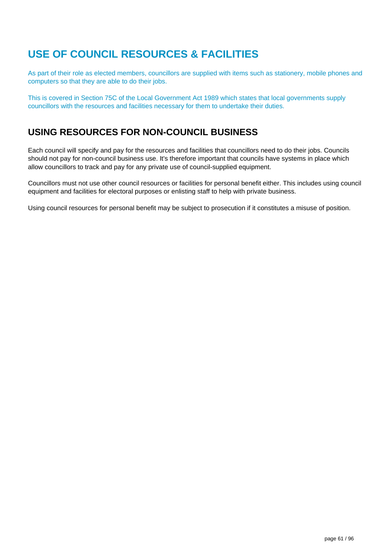# **USE OF COUNCIL RESOURCES & FACILITIES**

As part of their role as elected members, councillors are supplied with items such as stationery, mobile phones and computers so that they are able to do their jobs.

This is covered in Section 75C of the Local Government Act 1989 which states that local governments supply councillors with the resources and facilities necessary for them to undertake their duties.

### **USING RESOURCES FOR NON-COUNCIL BUSINESS**

Each council will specify and pay for the resources and facilities that councillors need to do their jobs. Councils should not pay for non-council business use. It's therefore important that councils have systems in place which allow councillors to track and pay for any private use of council-supplied equipment.

Councillors must not use other council resources or facilities for personal benefit either. This includes using council equipment and facilities for electoral purposes or enlisting staff to help with private business.

Using council resources for personal benefit may be subject to prosecution if it constitutes a misuse of position.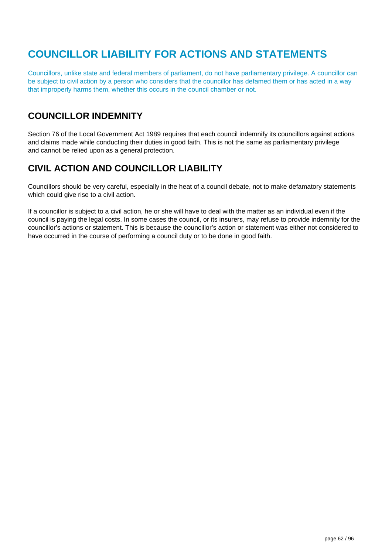# **COUNCILLOR LIABILITY FOR ACTIONS AND STATEMENTS**

Councillors, unlike state and federal members of parliament, do not have parliamentary privilege. A councillor can be subject to civil action by a person who considers that the councillor has defamed them or has acted in a way that improperly harms them, whether this occurs in the council chamber or not.

## **COUNCILLOR INDEMNITY**

Section 76 of the Local Government Act 1989 requires that each council indemnify its councillors against actions and claims made while conducting their duties in good faith. This is not the same as parliamentary privilege and cannot be relied upon as a general protection.

### **CIVIL ACTION AND COUNCILLOR LIABILITY**

Councillors should be very careful, especially in the heat of a council debate, not to make defamatory statements which could give rise to a civil action.

If a councillor is subject to a civil action, he or she will have to deal with the matter as an individual even if the council is paying the legal costs. In some cases the council, or its insurers, may refuse to provide indemnity for the councillor's actions or statement. This is because the councillor's action or statement was either not considered to have occurred in the course of performing a council duty or to be done in good faith.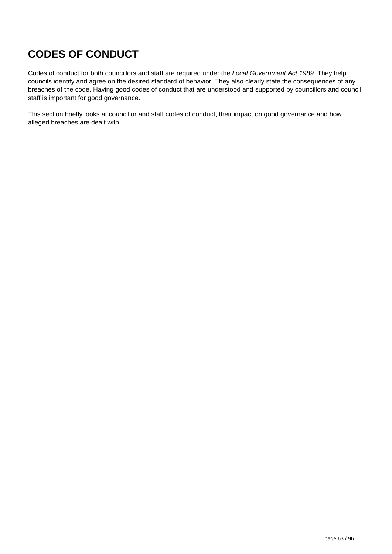# **CODES OF CONDUCT**

Codes of conduct for both councillors and staff are required under the Local Government Act 1989. They help councils identify and agree on the desired standard of behavior. They also clearly state the consequences of any breaches of the code. Having good codes of conduct that are understood and supported by councillors and council staff is important for good governance.

This section briefly looks at councillor and staff codes of conduct, their impact on good governance and how alleged breaches are dealt with.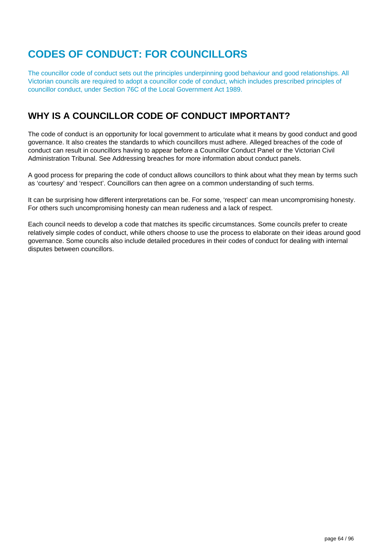# **CODES OF CONDUCT: FOR COUNCILLORS**

The councillor code of conduct sets out the principles underpinning good behaviour and good relationships. All Victorian councils are required to adopt a councillor code of conduct, which includes prescribed principles of councillor conduct, under Section 76C of the Local Government Act 1989.

## **WHY IS A COUNCILLOR CODE OF CONDUCT IMPORTANT?**

The code of conduct is an opportunity for local government to articulate what it means by good conduct and good governance. It also creates the standards to which councillors must adhere. Alleged breaches of the code of conduct can result in councillors having to appear before a Councillor Conduct Panel or the Victorian Civil Administration Tribunal. See Addressing breaches for more information about conduct panels.

A good process for preparing the code of conduct allows councillors to think about what they mean by terms such as 'courtesy' and 'respect'. Councillors can then agree on a common understanding of such terms.

It can be surprising how different interpretations can be. For some, 'respect' can mean uncompromising honesty. For others such uncompromising honesty can mean rudeness and a lack of respect.

Each council needs to develop a code that matches its specific circumstances. Some councils prefer to create relatively simple codes of conduct, while others choose to use the process to elaborate on their ideas around good governance. Some councils also include detailed procedures in their codes of conduct for dealing with internal disputes between councillors.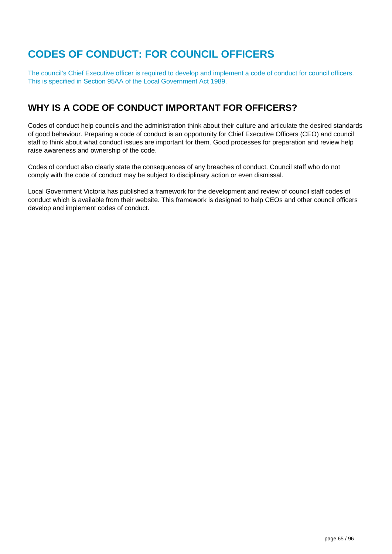# **CODES OF CONDUCT: FOR COUNCIL OFFICERS**

The council's Chief Executive officer is required to develop and implement a code of conduct for council officers. This is specified in Section 95AA of the Local Government Act 1989.

### **WHY IS A CODE OF CONDUCT IMPORTANT FOR OFFICERS?**

Codes of conduct help councils and the administration think about their culture and articulate the desired standards of good behaviour. Preparing a code of conduct is an opportunity for Chief Executive Officers (CEO) and council staff to think about what conduct issues are important for them. Good processes for preparation and review help raise awareness and ownership of the code.

Codes of conduct also clearly state the consequences of any breaches of conduct. Council staff who do not comply with the code of conduct may be subject to disciplinary action or even dismissal.

Local Government Victoria has published a framework for the development and review of council staff codes of conduct which is available from their website. This framework is designed to help CEOs and other council officers develop and implement codes of conduct.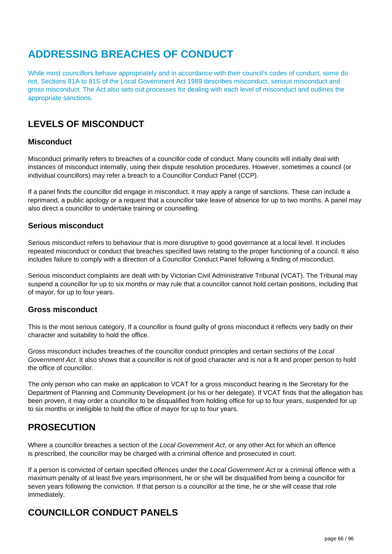## **ADDRESSING BREACHES OF CONDUCT**

While most councillors behave appropriately and in accordance with their council's codes of conduct, some do not. Sections 81A to 81S of the Local Government Act 1989 describes misconduct, serious misconduct and gross misconduct. The Act also sets out processes for dealing with each level of misconduct and outlines the appropriate sanctions.

## **LEVELS OF MISCONDUCT**

#### **Misconduct**

Misconduct primarily refers to breaches of a councillor code of conduct. Many councils will initially deal with instances of misconduct internally, using their dispute resolution procedures. However, sometimes a council (or individual councillors) may refer a breach to a Councillor Conduct Panel (CCP).

If a panel finds the councillor did engage in misconduct, it may apply a range of sanctions. These can include a reprimand, a public apology or a request that a councillor take leave of absence for up to two months. A panel may also direct a councillor to undertake training or counselling.

#### **Serious misconduct**

Serious misconduct refers to behaviour that is more disruptive to good governance at a local level. It includes repeated misconduct or conduct that breaches specified laws relating to the proper functioning of a council. It also includes failure to comply with a direction of a Councillor Conduct Panel following a finding of misconduct.

Serious misconduct complaints are dealt with by Victorian Civil Administrative Tribunal (VCAT). The Tribunal may suspend a councillor for up to six months or may rule that a councillor cannot hold certain positions, including that of mayor, for up to four years.

#### **Gross misconduct**

This is the most serious category. If a councillor is found guilty of gross misconduct it reflects very badly on their character and suitability to hold the office.

Gross misconduct includes breaches of the councillor conduct principles and certain sections of the Local Government Act. It also shows that a councillor is not of good character and is not a fit and proper person to hold the office of councillor.

The only person who can make an application to VCAT for a gross misconduct hearing is the Secretary for the Department of Planning and Community Development (or his or her delegate). If VCAT finds that the allegation has been proven, it may order a councillor to be disqualified from holding office for up to four years, suspended for up to six months or ineligible to hold the office of mayor for up to four years.

### **PROSECUTION**

Where a councillor breaches a section of the Local Government Act, or any other Act for which an offence is prescribed, the councillor may be charged with a criminal offence and prosecuted in court.

If a person is convicted of certain specified offences under the Local Government Act or a criminal offence with a maximum penalty of at least five years imprisonment, he or she will be disqualified from being a councillor for seven years following the conviction. If that person is a councillor at the time, he or she will cease that role immediately.

### **COUNCILLOR CONDUCT PANELS**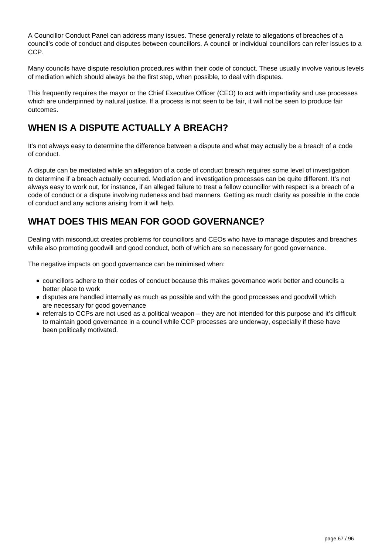A Councillor Conduct Panel can address many issues. These generally relate to allegations of breaches of a council's code of conduct and disputes between councillors. A council or individual councillors can refer issues to a CCP.

Many councils have dispute resolution procedures within their code of conduct. These usually involve various levels of mediation which should always be the first step, when possible, to deal with disputes.

This frequently requires the mayor or the Chief Executive Officer (CEO) to act with impartiality and use processes which are underpinned by natural justice. If a process is not seen to be fair, it will not be seen to produce fair outcomes.

## **WHEN IS A DISPUTE ACTUALLY A BREACH?**

It's not always easy to determine the difference between a dispute and what may actually be a breach of a code of conduct.

A dispute can be mediated while an allegation of a code of conduct breach requires some level of investigation to determine if a breach actually occurred. Mediation and investigation processes can be quite different. It's not always easy to work out, for instance, if an alleged failure to treat a fellow councillor with respect is a breach of a code of conduct or a dispute involving rudeness and bad manners. Getting as much clarity as possible in the code of conduct and any actions arising from it will help.

### **WHAT DOES THIS MEAN FOR GOOD GOVERNANCE?**

Dealing with misconduct creates problems for councillors and CEOs who have to manage disputes and breaches while also promoting goodwill and good conduct, both of which are so necessary for good governance.

The negative impacts on good governance can be minimised when:

- councillors adhere to their codes of conduct because this makes governance work better and councils a better place to work
- disputes are handled internally as much as possible and with the good processes and goodwill which are necessary for good governance
- referrals to CCPs are not used as a political weapon they are not intended for this purpose and it's difficult to maintain good governance in a council while CCP processes are underway, especially if these have been politically motivated.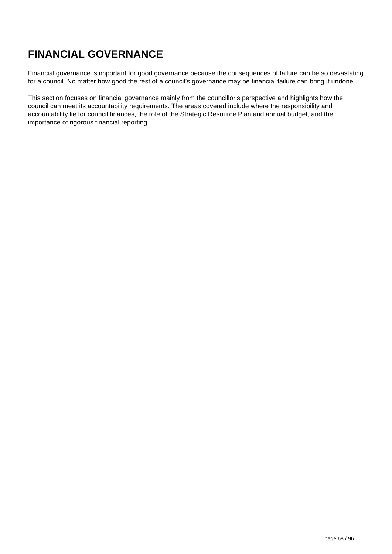# **FINANCIAL GOVERNANCE**

Financial governance is important for good governance because the consequences of failure can be so devastating for a council. No matter how good the rest of a council's governance may be financial failure can bring it undone.

This section focuses on financial governance mainly from the councillor's perspective and highlights how the council can meet its accountability requirements. The areas covered include where the responsibility and accountability lie for council finances, the role of the Strategic Resource Plan and annual budget, and the importance of rigorous financial reporting.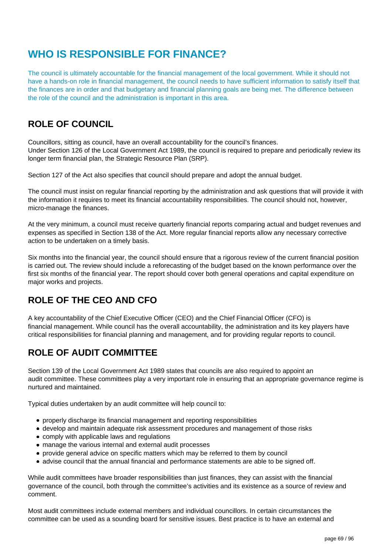## **WHO IS RESPONSIBLE FOR FINANCE?**

The council is ultimately accountable for the financial management of the local government. While it should not have a hands-on role in financial management, the council needs to have sufficient information to satisfy itself that the finances are in order and that budgetary and financial planning goals are being met. The difference between the role of the council and the administration is important in this area.

## **ROLE OF COUNCIL**

Councillors, sitting as council, have an overall accountability for the council's finances. Under Section 126 of the Local Government Act 1989, the council is required to prepare and periodically review its longer term financial plan, the Strategic Resource Plan (SRP).

Section 127 of the Act also specifies that council should prepare and adopt the annual budget.

The council must insist on regular financial reporting by the administration and ask questions that will provide it with the information it requires to meet its financial accountability responsibilities. The council should not, however, micro-manage the finances.

At the very minimum, a council must receive quarterly financial reports comparing actual and budget revenues and expenses as specified in Section 138 of the Act. More regular financial reports allow any necessary corrective action to be undertaken on a timely basis.

Six months into the financial year, the council should ensure that a rigorous review of the current financial position is carried out. The review should include a reforecasting of the budget based on the known performance over the first six months of the financial year. The report should cover both general operations and capital expenditure on major works and projects.

## **ROLE OF THE CEO AND CFO**

A key accountability of the Chief Executive Officer (CEO) and the Chief Financial Officer (CFO) is financial management. While council has the overall accountability, the administration and its key players have critical responsibilities for financial planning and management, and for providing regular reports to council.

## **ROLE OF AUDIT COMMITTEE**

Section 139 of the Local Government Act 1989 states that councils are also required to appoint an audit committee. These committees play a very important role in ensuring that an appropriate governance regime is nurtured and maintained.

Typical duties undertaken by an audit committee will help council to:

- properly discharge its financial management and reporting responsibilities
- develop and maintain adequate risk assessment procedures and management of those risks
- comply with applicable laws and regulations
- manage the various internal and external audit processes
- provide general advice on specific matters which may be referred to them by council
- advise council that the annual financial and performance statements are able to be signed off.

While audit committees have broader responsibilities than just finances, they can assist with the financial governance of the council, both through the committee's activities and its existence as a source of review and comment.

Most audit committees include external members and individual councillors. In certain circumstances the committee can be used as a sounding board for sensitive issues. Best practice is to have an external and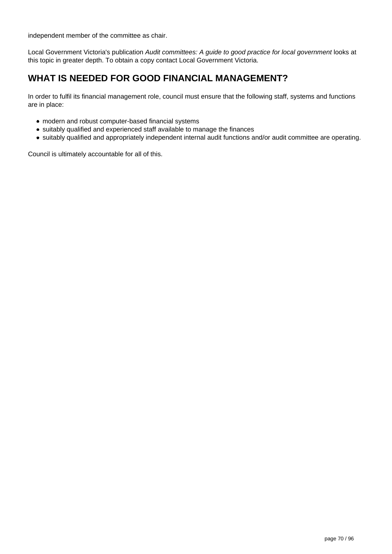independent member of the committee as chair.

Local Government Victoria's publication Audit committees: A guide to good practice for local government looks at this topic in greater depth. To obtain a copy contact Local Government Victoria.

## **WHAT IS NEEDED FOR GOOD FINANCIAL MANAGEMENT?**

In order to fulfil its financial management role, council must ensure that the following staff, systems and functions are in place:

- modern and robust computer-based financial systems
- suitably qualified and experienced staff available to manage the finances
- suitably qualified and appropriately independent internal audit functions and/or audit committee are operating.

Council is ultimately accountable for all of this.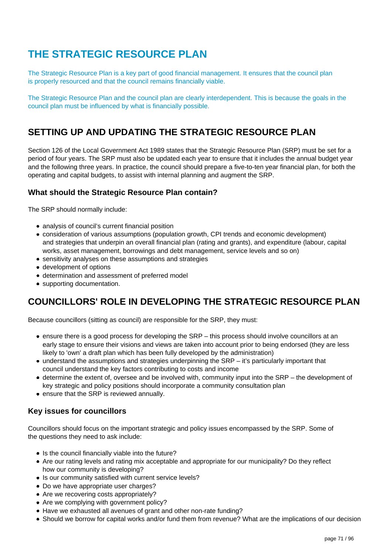# **THE STRATEGIC RESOURCE PLAN**

The Strategic Resource Plan is a key part of good financial management. It ensures that the council plan is properly resourced and that the council remains financially viable.

The Strategic Resource Plan and the council plan are clearly interdependent. This is because the goals in the council plan must be influenced by what is financially possible.

### **SETTING UP AND UPDATING THE STRATEGIC RESOURCE PLAN**

Section 126 of the Local Government Act 1989 states that the Strategic Resource Plan (SRP) must be set for a period of four years. The SRP must also be updated each year to ensure that it includes the annual budget year and the following three years. In practice, the council should prepare a five-to-ten year financial plan, for both the operating and capital budgets, to assist with internal planning and augment the SRP.

### **What should the Strategic Resource Plan contain?**

The SRP should normally include:

- analysis of council's current financial position
- consideration of various assumptions (population growth, CPI trends and economic development) and strategies that underpin an overall financial plan (rating and grants), and expenditure (labour, capital works, asset management, borrowings and debt management, service levels and so on)
- sensitivity analyses on these assumptions and strategies
- development of options
- determination and assessment of preferred model
- supporting documentation.

### **COUNCILLORS' ROLE IN DEVELOPING THE STRATEGIC RESOURCE PLAN**

Because councillors (sitting as council) are responsible for the SRP, they must:

- ensure there is a good process for developing the SRP this process should involve councillors at an early stage to ensure their visions and views are taken into account prior to being endorsed (they are less likely to 'own' a draft plan which has been fully developed by the administration)
- understand the assumptions and strategies underpinning the SRP it's particularly important that council understand the key factors contributing to costs and income
- determine the extent of, oversee and be involved with, community input into the SRP the development of key strategic and policy positions should incorporate a community consultation plan
- ensure that the SRP is reviewed annually.

### **Key issues for councillors**

Councillors should focus on the important strategic and policy issues encompassed by the SRP. Some of the questions they need to ask include:

- Is the council financially viable into the future?
- Are our rating levels and rating mix acceptable and appropriate for our municipality? Do they reflect how our community is developing?
- Is our community satisfied with current service levels?
- Do we have appropriate user charges?
- Are we recovering costs appropriately?
- Are we complying with government policy?
- Have we exhausted all avenues of grant and other non-rate funding?
- Should we borrow for capital works and/or fund them from revenue? What are the implications of our decision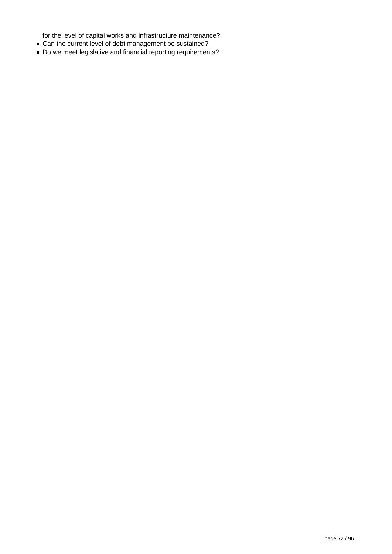for the level of capital works and infrastructure maintenance?

- Can the current level of debt management be sustained?
- Do we meet legislative and financial reporting requirements?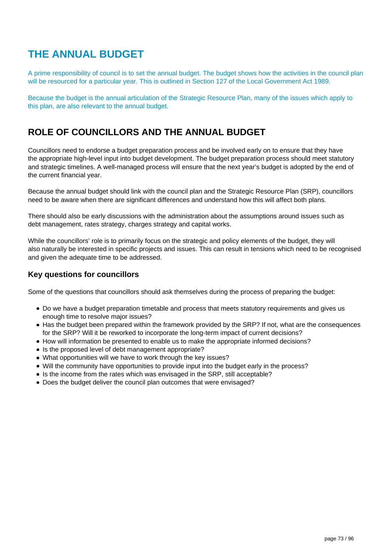## **THE ANNUAL BUDGET**

A prime responsibility of council is to set the annual budget. The budget shows how the activities in the council plan will be resourced for a particular year. This is outlined in Section 127 of the Local Government Act 1989.

Because the budget is the annual articulation of the Strategic Resource Plan, many of the issues which apply to this plan, are also relevant to the annual budget.

### **ROLE OF COUNCILLORS AND THE ANNUAL BUDGET**

Councillors need to endorse a budget preparation process and be involved early on to ensure that they have the appropriate high-level input into budget development. The budget preparation process should meet statutory and strategic timelines. A well-managed process will ensure that the next year's budget is adopted by the end of the current financial year.

Because the annual budget should link with the council plan and the Strategic Resource Plan (SRP), councillors need to be aware when there are significant differences and understand how this will affect both plans.

There should also be early discussions with the administration about the assumptions around issues such as debt management, rates strategy, charges strategy and capital works.

While the councillors' role is to primarily focus on the strategic and policy elements of the budget, they will also naturally be interested in specific projects and issues. This can result in tensions which need to be recognised and given the adequate time to be addressed.

#### **Key questions for councillors**

Some of the questions that councillors should ask themselves during the process of preparing the budget:

- Do we have a budget preparation timetable and process that meets statutory requirements and gives us enough time to resolve major issues?
- Has the budget been prepared within the framework provided by the SRP? If not, what are the consequences for the SRP? Will it be reworked to incorporate the long-term impact of current decisions?
- How will information be presented to enable us to make the appropriate informed decisions?
- Is the proposed level of debt management appropriate?
- What opportunities will we have to work through the key issues?
- Will the community have opportunities to provide input into the budget early in the process?
- Is the income from the rates which was envisaged in the SRP, still acceptable?
- Does the budget deliver the council plan outcomes that were envisaged?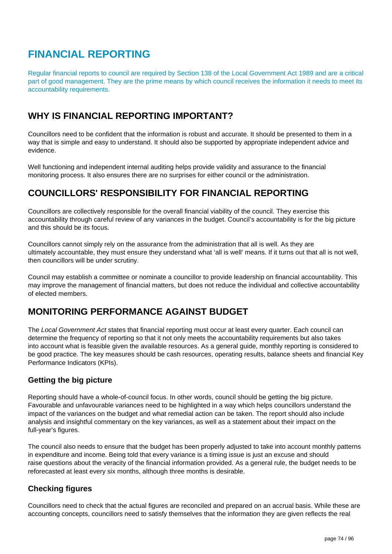# **FINANCIAL REPORTING**

Regular financial reports to council are required by Section 138 of the Local Government Act 1989 and are a critical part of good management. They are the prime means by which council receives the information it needs to meet its accountability requirements.

## **WHY IS FINANCIAL REPORTING IMPORTANT?**

Councillors need to be confident that the information is robust and accurate. It should be presented to them in a way that is simple and easy to understand. It should also be supported by appropriate independent advice and evidence.

Well functioning and independent internal auditing helps provide validity and assurance to the financial monitoring process. It also ensures there are no surprises for either council or the administration.

## **COUNCILLORS' RESPONSIBILITY FOR FINANCIAL REPORTING**

Councillors are collectively responsible for the overall financial viability of the council. They exercise this accountability through careful review of any variances in the budget. Council's accountability is for the big picture and this should be its focus.

Councillors cannot simply rely on the assurance from the administration that all is well. As they are ultimately accountable, they must ensure they understand what 'all is well' means. If it turns out that all is not well, then councillors will be under scrutiny.

Council may establish a committee or nominate a councillor to provide leadership on financial accountability. This may improve the management of financial matters, but does not reduce the individual and collective accountability of elected members.

### **MONITORING PERFORMANCE AGAINST BUDGET**

The Local Government Act states that financial reporting must occur at least every quarter. Each council can determine the frequency of reporting so that it not only meets the accountability requirements but also takes into account what is feasible given the available resources. As a general guide, monthly reporting is considered to be good practice. The key measures should be cash resources, operating results, balance sheets and financial Key Performance Indicators (KPIs).

#### **Getting the big picture**

Reporting should have a whole-of-council focus. In other words, council should be getting the big picture. Favourable and unfavourable variances need to be highlighted in a way which helps councillors understand the impact of the variances on the budget and what remedial action can be taken. The report should also include analysis and insightful commentary on the key variances, as well as a statement about their impact on the full-year's figures.

The council also needs to ensure that the budget has been properly adjusted to take into account monthly patterns in expenditure and income. Being told that every variance is a timing issue is just an excuse and should raise questions about the veracity of the financial information provided. As a general rule, the budget needs to be reforecasted at least every six months, although three months is desirable.

#### **Checking figures**

Councillors need to check that the actual figures are reconciled and prepared on an accrual basis. While these are accounting concepts, councillors need to satisfy themselves that the information they are given reflects the real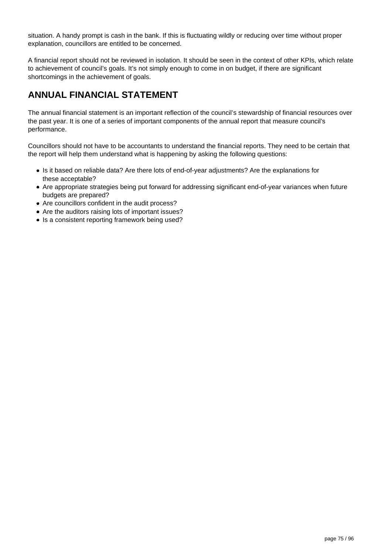situation. A handy prompt is cash in the bank. If this is fluctuating wildly or reducing over time without proper explanation, councillors are entitled to be concerned.

A financial report should not be reviewed in isolation. It should be seen in the context of other KPIs, which relate to achievement of council's goals. It's not simply enough to come in on budget, if there are significant shortcomings in the achievement of goals.

## **ANNUAL FINANCIAL STATEMENT**

The annual financial statement is an important reflection of the council's stewardship of financial resources over the past year. It is one of a series of important components of the annual report that measure council's performance.

Councillors should not have to be accountants to understand the financial reports. They need to be certain that the report will help them understand what is happening by asking the following questions:

- Is it based on reliable data? Are there lots of end-of-year adjustments? Are the explanations for these acceptable?
- Are appropriate strategies being put forward for addressing significant end-of-year variances when future budgets are prepared?
- Are councillors confident in the audit process?
- Are the auditors raising lots of important issues?
- Is a consistent reporting framework being used?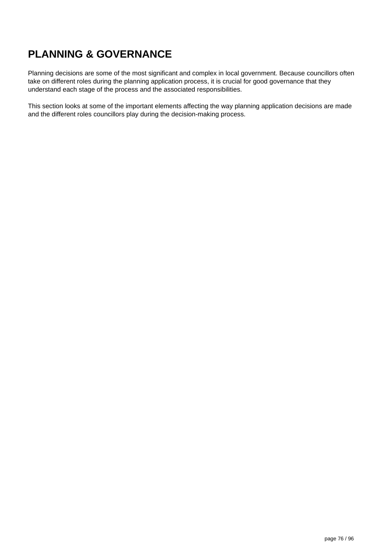# **PLANNING & GOVERNANCE**

Planning decisions are some of the most significant and complex in local government. Because councillors often take on different roles during the planning application process, it is crucial for good governance that they understand each stage of the process and the associated responsibilities.

This section looks at some of the important elements affecting the way planning application decisions are made and the different roles councillors play during the decision-making process.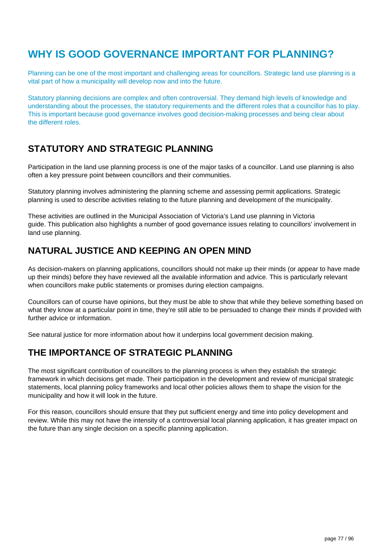## **WHY IS GOOD GOVERNANCE IMPORTANT FOR PLANNING?**

Planning can be one of the most important and challenging areas for councillors. Strategic land use planning is a vital part of how a municipality will develop now and into the future.

Statutory planning decisions are complex and often controversial. They demand high levels of knowledge and understanding about the processes, the statutory requirements and the different roles that a councillor has to play. This is important because good governance involves good decision-making processes and being clear about the different roles.

## **STATUTORY AND STRATEGIC PLANNING**

Participation in the land use planning process is one of the major tasks of a councillor. Land use planning is also often a key pressure point between councillors and their communities.

Statutory planning involves administering the planning scheme and assessing permit applications. Strategic planning is used to describe activities relating to the future planning and development of the municipality.

These activities are outlined in the Municipal Association of Victoria's Land use planning in Victoria guide. This publication also highlights a number of good governance issues relating to councillors' involvement in land use planning.

### **NATURAL JUSTICE AND KEEPING AN OPEN MIND**

As decision-makers on planning applications, councillors should not make up their minds (or appear to have made up their minds) before they have reviewed all the available information and advice. This is particularly relevant when councillors make public statements or promises during election campaigns.

Councillors can of course have opinions, but they must be able to show that while they believe something based on what they know at a particular point in time, they're still able to be persuaded to change their minds if provided with further advice or information.

See natural justice for more information about how it underpins local government decision making.

### **THE IMPORTANCE OF STRATEGIC PLANNING**

The most significant contribution of councillors to the planning process is when they establish the strategic framework in which decisions get made. Their participation in the development and review of municipal strategic statements, local planning policy frameworks and local other policies allows them to shape the vision for the municipality and how it will look in the future.

For this reason, councillors should ensure that they put sufficient energy and time into policy development and review. While this may not have the intensity of a controversial local planning application, it has greater impact on the future than any single decision on a specific planning application.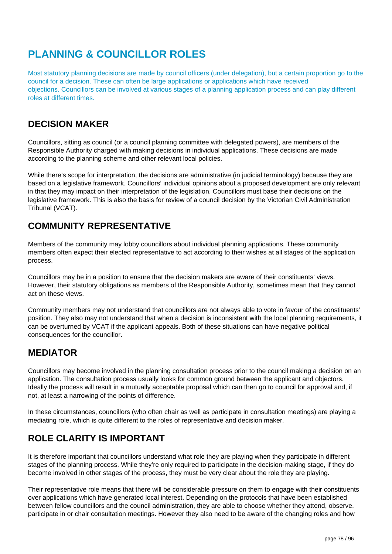# **PLANNING & COUNCILLOR ROLES**

Most statutory planning decisions are made by council officers (under delegation), but a certain proportion go to the council for a decision. These can often be large applications or applications which have received objections. Councillors can be involved at various stages of a planning application process and can play different roles at different times.

## **DECISION MAKER**

Councillors, sitting as council (or a council planning committee with delegated powers), are members of the Responsible Authority charged with making decisions in individual applications. These decisions are made according to the planning scheme and other relevant local policies.

While there's scope for interpretation, the decisions are administrative (in judicial terminology) because they are based on a legislative framework. Councillors' individual opinions about a proposed development are only relevant in that they may impact on their interpretation of the legislation. Councillors must base their decisions on the legislative framework. This is also the basis for review of a council decision by the Victorian Civil Administration Tribunal (VCAT).

## **COMMUNITY REPRESENTATIVE**

Members of the community may lobby councillors about individual planning applications. These community members often expect their elected representative to act according to their wishes at all stages of the application process.

Councillors may be in a position to ensure that the decision makers are aware of their constituents' views. However, their statutory obligations as members of the Responsible Authority, sometimes mean that they cannot act on these views.

Community members may not understand that councillors are not always able to vote in favour of the constituents' position. They also may not understand that when a decision is inconsistent with the local planning requirements, it can be overturned by VCAT if the applicant appeals. Both of these situations can have negative political consequences for the councillor.

### **MEDIATOR**

Councillors may become involved in the planning consultation process prior to the council making a decision on an application. The consultation process usually looks for common ground between the applicant and objectors. Ideally the process will result in a mutually acceptable proposal which can then go to council for approval and, if not, at least a narrowing of the points of difference.

In these circumstances, councillors (who often chair as well as participate in consultation meetings) are playing a mediating role, which is quite different to the roles of representative and decision maker.

## **ROLE CLARITY IS IMPORTANT**

It is therefore important that councillors understand what role they are playing when they participate in different stages of the planning process. While they're only required to participate in the decision-making stage, if they do become involved in other stages of the process, they must be very clear about the role they are playing.

Their representative role means that there will be considerable pressure on them to engage with their constituents over applications which have generated local interest. Depending on the protocols that have been established between fellow councillors and the council administration, they are able to choose whether they attend, observe, participate in or chair consultation meetings. However they also need to be aware of the changing roles and how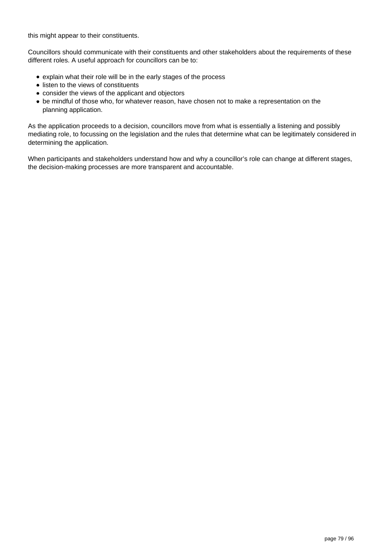this might appear to their constituents.

Councillors should communicate with their constituents and other stakeholders about the requirements of these different roles. A useful approach for councillors can be to:

- explain what their role will be in the early stages of the process
- listen to the views of constituents
- consider the views of the applicant and objectors
- be mindful of those who, for whatever reason, have chosen not to make a representation on the planning application.

As the application proceeds to a decision, councillors move from what is essentially a listening and possibly mediating role, to focussing on the legislation and the rules that determine what can be legitimately considered in determining the application.

When participants and stakeholders understand how and why a councillor's role can change at different stages, the decision-making processes are more transparent and accountable.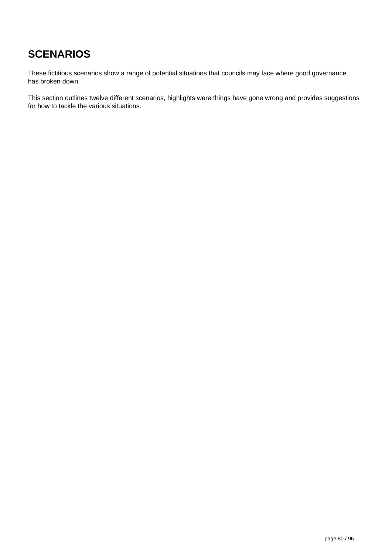# **SCENARIOS**

These fictitious scenarios show a range of potential situations that councils may face where good governance has broken down.

This section outlines twelve different scenarios, highlights were things have gone wrong and provides suggestions for how to tackle the various situations.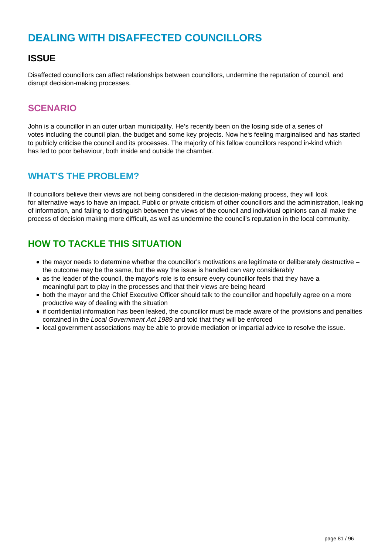# **DEALING WITH DISAFFECTED COUNCILLORS**

### **ISSUE**

Disaffected councillors can affect relationships between councillors, undermine the reputation of council, and disrupt decision-making processes.

#### **SCENARIO**

John is a councillor in an outer urban municipality. He's recently been on the losing side of a series of votes including the council plan, the budget and some key projects. Now he's feeling marginalised and has started to publicly criticise the council and its processes. The majority of his fellow councillors respond in-kind which has led to poor behaviour, both inside and outside the chamber.

#### **WHAT'S THE PROBLEM?**

If councillors believe their views are not being considered in the decision-making process, they will look for alternative ways to have an impact. Public or private criticism of other councillors and the administration, leaking of information, and failing to distinguish between the views of the council and individual opinions can all make the process of decision making more difficult, as well as undermine the council's reputation in the local community.

- the mayor needs to determine whether the councillor's motivations are legitimate or deliberately destructive the outcome may be the same, but the way the issue is handled can vary considerably
- as the leader of the council, the mayor's role is to ensure every councillor feels that they have a meaningful part to play in the processes and that their views are being heard
- both the mayor and the Chief Executive Officer should talk to the councillor and hopefully agree on a more productive way of dealing with the situation
- if confidential information has been leaked, the councillor must be made aware of the provisions and penalties contained in the Local Government Act 1989 and told that they will be enforced
- local government associations may be able to provide mediation or impartial advice to resolve the issue.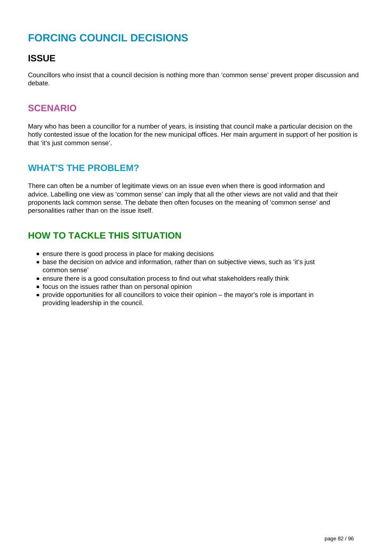# **FORCING COUNCIL DECISIONS**

## **ISSUE**

Councillors who insist that a council decision is nothing more than 'common sense' prevent proper discussion and debate.

#### **SCENARIO**

Mary who has been a councillor for a number of years, is insisting that council make a particular decision on the hotly contested issue of the location for the new municipal offices. Her main argument in support of her position is that 'it's just common sense'.

#### **WHAT'S THE PROBLEM?**

There can often be a number of legitimate views on an issue even when there is good information and advice. Labelling one view as 'common sense' can imply that all the other views are not valid and that their proponents lack common sense. The debate then often focuses on the meaning of 'common sense' and personalities rather than on the issue itself.

- ensure there is good process in place for making decisions
- base the decision on advice and information, rather than on subjective views, such as 'it's just common sense'
- ensure there is a good consultation process to find out what stakeholders really think
- focus on the issues rather than on personal opinion
- provide opportunities for all councillors to voice their opinion the mayor's role is important in providing leadership in the council.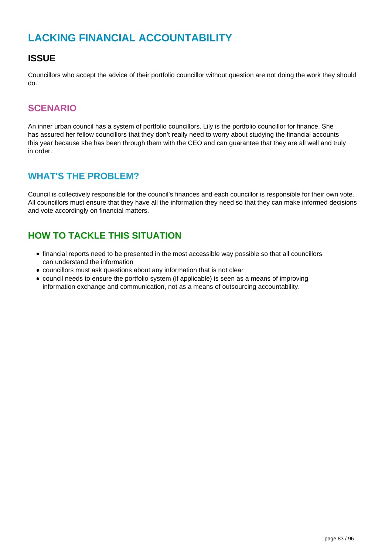# **LACKING FINANCIAL ACCOUNTABILITY**

### **ISSUE**

Councillors who accept the advice of their portfolio councillor without question are not doing the work they should do.

#### **SCENARIO**

An inner urban council has a system of portfolio councillors. Lily is the portfolio councillor for finance. She has assured her fellow councillors that they don't really need to worry about studying the financial accounts this year because she has been through them with the CEO and can guarantee that they are all well and truly in order.

#### **WHAT'S THE PROBLEM?**

Council is collectively responsible for the council's finances and each councillor is responsible for their own vote. All councillors must ensure that they have all the information they need so that they can make informed decisions and vote accordingly on financial matters.

- financial reports need to be presented in the most accessible way possible so that all councillors can understand the information
- councillors must ask questions about any information that is not clear
- council needs to ensure the portfolio system (if applicable) is seen as a means of improving information exchange and communication, not as a means of outsourcing accountability.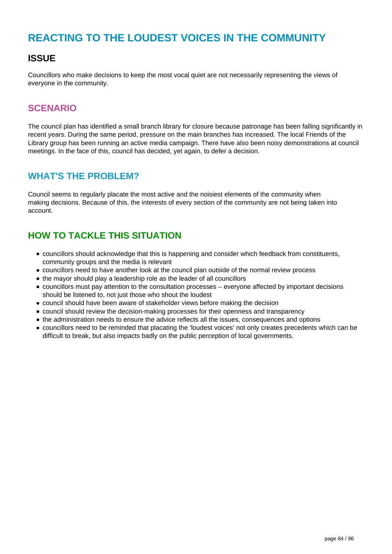## **REACTING TO THE LOUDEST VOICES IN THE COMMUNITY**

### **ISSUE**

Councillors who make decisions to keep the most vocal quiet are not necessarily representing the views of everyone in the community.

#### **SCENARIO**

The council plan has identified a small branch library for closure because patronage has been falling significantly in recent years. During the same period, pressure on the main branches has increased. The local Friends of the Library group has been running an active media campaign. There have also been noisy demonstrations at council meetings. In the face of this, council has decided, yet again, to defer a decision.

#### **WHAT'S THE PROBLEM?**

Council seems to regularly placate the most active and the noisiest elements of the community when making decisions. Because of this, the interests of every section of the community are not being taken into account.

- councillors should acknowledge that this is happening and consider which feedback from constituents, community groups and the media is relevant
- councillors need to have another look at the council plan outside of the normal review process
- the mayor should play a leadership role as the leader of all councillors
- councillors must pay attention to the consultation processes everyone affected by important decisions should be listened to, not just those who shout the loudest
- council should have been aware of stakeholder views before making the decision
- council should review the decision-making processes for their openness and transparency
- the administration needs to ensure the advice reflects all the issues, consequences and options
- councillors need to be reminded that placating the 'loudest voices' not only creates precedents which can be difficult to break, but also impacts badly on the public perception of local governments.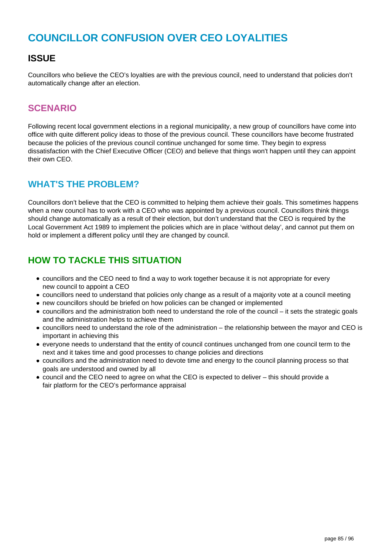# **COUNCILLOR CONFUSION OVER CEO LOYALITIES**

### **ISSUE**

Councillors who believe the CEO's loyalties are with the previous council, need to understand that policies don't automatically change after an election.

#### **SCENARIO**

Following recent local government elections in a regional municipality, a new group of councillors have come into office with quite different policy ideas to those of the previous council. These councillors have become frustrated because the policies of the previous council continue unchanged for some time. They begin to express dissatisfaction with the Chief Executive Officer (CEO) and believe that things won't happen until they can appoint their own CEO.

#### **WHAT'S THE PROBLEM?**

Councillors don't believe that the CEO is committed to helping them achieve their goals. This sometimes happens when a new council has to work with a CEO who was appointed by a previous council. Councillors think things should change automatically as a result of their election, but don't understand that the CEO is required by the Local Government Act 1989 to implement the policies which are in place 'without delay', and cannot put them on hold or implement a different policy until they are changed by council.

- councillors and the CEO need to find a way to work together because it is not appropriate for every new council to appoint a CEO
- councillors need to understand that policies only change as a result of a majority vote at a council meeting
- new councillors should be briefed on how policies can be changed or implemented
- councillors and the administration both need to understand the role of the council it sets the strategic goals and the administration helps to achieve them
- councillors need to understand the role of the administration the relationship between the mayor and CEO is important in achieving this
- everyone needs to understand that the entity of council continues unchanged from one council term to the next and it takes time and good processes to change policies and directions
- councillors and the administration need to devote time and energy to the council planning process so that goals are understood and owned by all
- council and the CEO need to agree on what the CEO is expected to deliver this should provide a fair platform for the CEO's performance appraisal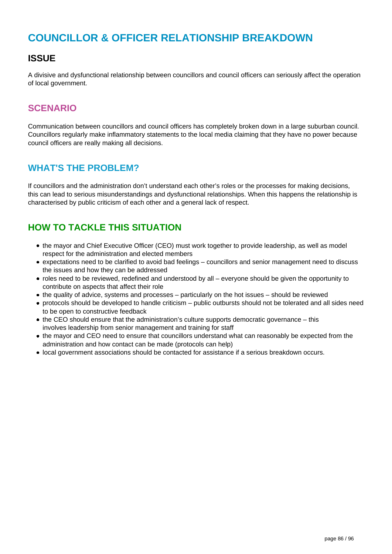## **COUNCILLOR & OFFICER RELATIONSHIP BREAKDOWN**

### **ISSUE**

A divisive and dysfunctional relationship between councillors and council officers can seriously affect the operation of local government.

#### **SCENARIO**

Communication between councillors and council officers has completely broken down in a large suburban council. Councillors regularly make inflammatory statements to the local media claiming that they have no power because council officers are really making all decisions.

#### **WHAT'S THE PROBLEM?**

If councillors and the administration don't understand each other's roles or the processes for making decisions, this can lead to serious misunderstandings and dysfunctional relationships. When this happens the relationship is characterised by public criticism of each other and a general lack of respect.

- the mayor and Chief Executive Officer (CEO) must work together to provide leadership, as well as model respect for the administration and elected members
- expectations need to be clarified to avoid bad feelings councillors and senior management need to discuss the issues and how they can be addressed
- roles need to be reviewed, redefined and understood by all everyone should be given the opportunity to contribute on aspects that affect their role
- the quality of advice, systems and processes particularly on the hot issues should be reviewed
- protocols should be developed to handle criticism public outbursts should not be tolerated and all sides need to be open to constructive feedback
- the CEO should ensure that the administration's culture supports democratic governance this involves leadership from senior management and training for staff
- the mayor and CEO need to ensure that councillors understand what can reasonably be expected from the administration and how contact can be made (protocols can help)
- local government associations should be contacted for assistance if a serious breakdown occurs.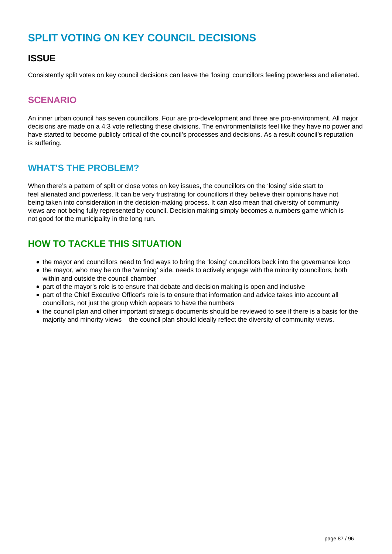# **SPLIT VOTING ON KEY COUNCIL DECISIONS**

### **ISSUE**

Consistently split votes on key council decisions can leave the 'losing' councillors feeling powerless and alienated.

## **SCENARIO**

An inner urban council has seven councillors. Four are pro-development and three are pro-environment. All major decisions are made on a 4:3 vote reflecting these divisions. The environmentalists feel like they have no power and have started to become publicly critical of the council's processes and decisions. As a result council's reputation is suffering.

### **WHAT'S THE PROBLEM?**

When there's a pattern of split or close votes on key issues, the councillors on the 'losing' side start to feel alienated and powerless. It can be very frustrating for councillors if they believe their opinions have not being taken into consideration in the decision-making process. It can also mean that diversity of community views are not being fully represented by council. Decision making simply becomes a numbers game which is not good for the municipality in the long run.

- the mayor and councillors need to find ways to bring the 'losing' councillors back into the governance loop
- the mayor, who may be on the 'winning' side, needs to actively engage with the minority councillors, both within and outside the council chamber
- part of the mayor's role is to ensure that debate and decision making is open and inclusive
- part of the Chief Executive Officer's role is to ensure that information and advice takes into account all councillors, not just the group which appears to have the numbers
- the council plan and other important strategic documents should be reviewed to see if there is a basis for the majority and minority views – the council plan should ideally reflect the diversity of community views.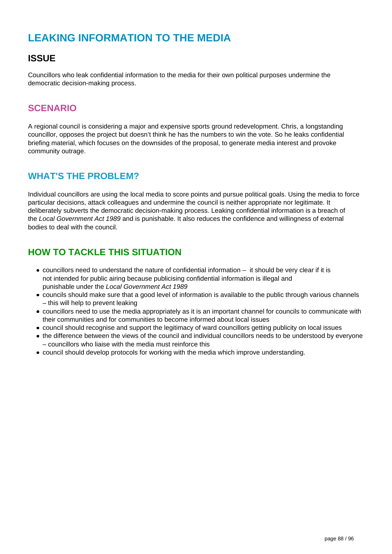# **LEAKING INFORMATION TO THE MEDIA**

## **ISSUE**

Councillors who leak confidential information to the media for their own political purposes undermine the democratic decision-making process.

#### **SCENARIO**

A regional council is considering a major and expensive sports ground redevelopment. Chris, a longstanding councillor, opposes the project but doesn't think he has the numbers to win the vote. So he leaks confidential briefing material, which focuses on the downsides of the proposal, to generate media interest and provoke community outrage.

#### **WHAT'S THE PROBLEM?**

Individual councillors are using the local media to score points and pursue political goals. Using the media to force particular decisions, attack colleagues and undermine the council is neither appropriate nor legitimate. It deliberately subverts the democratic decision-making process. Leaking confidential information is a breach of the Local Government Act 1989 and is punishable. It also reduces the confidence and willingness of external bodies to deal with the council.

- councillors need to understand the nature of confidential information it should be very clear if it is not intended for public airing because publicising confidential information is illegal and punishable under the Local Government Act 1989
- councils should make sure that a good level of information is available to the public through various channels – this will help to prevent leaking
- councillors need to use the media appropriately as it is an important channel for councils to communicate with their communities and for communities to become informed about local issues
- council should recognise and support the legitimacy of ward councillors getting publicity on local issues
- the difference between the views of the council and individual councillors needs to be understood by everyone – councillors who liaise with the media must reinforce this
- council should develop protocols for working with the media which improve understanding.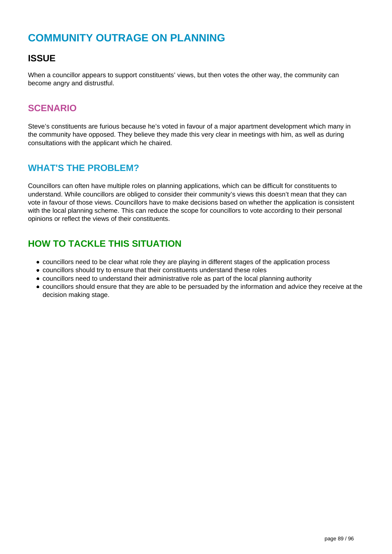## **COMMUNITY OUTRAGE ON PLANNING**

### **ISSUE**

When a councillor appears to support constituents' views, but then votes the other way, the community can become angry and distrustful.

#### **SCENARIO**

Steve's constituents are furious because he's voted in favour of a major apartment development which many in the community have opposed. They believe they made this very clear in meetings with him, as well as during consultations with the applicant which he chaired.

#### **WHAT'S THE PROBLEM?**

Councillors can often have multiple roles on planning applications, which can be difficult for constituents to understand. While councillors are obliged to consider their community's views this doesn't mean that they can vote in favour of those views. Councillors have to make decisions based on whether the application is consistent with the local planning scheme. This can reduce the scope for councillors to vote according to their personal opinions or reflect the views of their constituents.

- councillors need to be clear what role they are playing in different stages of the application process
- councillors should try to ensure that their constituents understand these roles
- councillors need to understand their administrative role as part of the local planning authority
- councillors should ensure that they are able to be persuaded by the information and advice they receive at the decision making stage.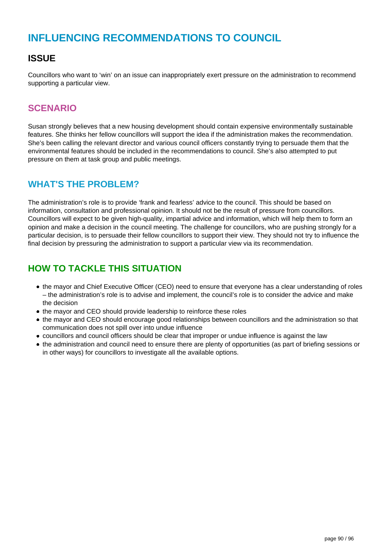## **INFLUENCING RECOMMENDATIONS TO COUNCIL**

### **ISSUE**

Councillors who want to 'win' on an issue can inappropriately exert pressure on the administration to recommend supporting a particular view.

#### **SCENARIO**

Susan strongly believes that a new housing development should contain expensive environmentally sustainable features. She thinks her fellow councillors will support the idea if the administration makes the recommendation. She's been calling the relevant director and various council officers constantly trying to persuade them that the environmental features should be included in the recommendations to council. She's also attempted to put pressure on them at task group and public meetings.

### **WHAT'S THE PROBLEM?**

The administration's role is to provide 'frank and fearless' advice to the council. This should be based on information, consultation and professional opinion. It should not be the result of pressure from councillors. Councillors will expect to be given high-quality, impartial advice and information, which will help them to form an opinion and make a decision in the council meeting. The challenge for councillors, who are pushing strongly for a particular decision, is to persuade their fellow councillors to support their view. They should not try to influence the final decision by pressuring the administration to support a particular view via its recommendation.

- the mayor and Chief Executive Officer (CEO) need to ensure that everyone has a clear understanding of roles – the administration's role is to advise and implement, the council's role is to consider the advice and make the decision
- the mayor and CEO should provide leadership to reinforce these roles
- the mayor and CEO should encourage good relationships between councillors and the administration so that communication does not spill over into undue influence
- councillors and council officers should be clear that improper or undue influence is against the law
- the administration and council need to ensure there are plenty of opportunities (as part of briefing sessions or in other ways) for councillors to investigate all the available options.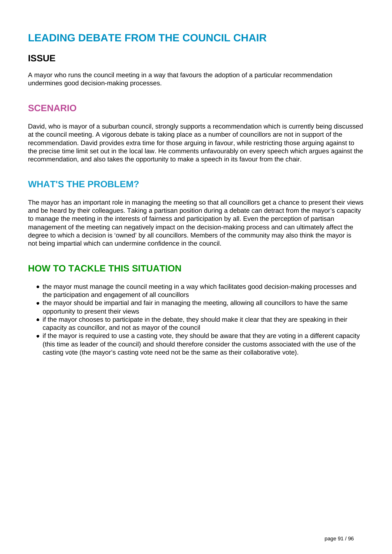## **LEADING DEBATE FROM THE COUNCIL CHAIR**

### **ISSUE**

A mayor who runs the council meeting in a way that favours the adoption of a particular recommendation undermines good decision-making processes.

#### **SCENARIO**

David, who is mayor of a suburban council, strongly supports a recommendation which is currently being discussed at the council meeting. A vigorous debate is taking place as a number of councillors are not in support of the recommendation. David provides extra time for those arguing in favour, while restricting those arguing against to the precise time limit set out in the local law. He comments unfavourably on every speech which argues against the recommendation, and also takes the opportunity to make a speech in its favour from the chair.

### **WHAT'S THE PROBLEM?**

The mayor has an important role in managing the meeting so that all councillors get a chance to present their views and be heard by their colleagues. Taking a partisan position during a debate can detract from the mayor's capacity to manage the meeting in the interests of fairness and participation by all. Even the perception of partisan management of the meeting can negatively impact on the decision-making process and can ultimately affect the degree to which a decision is 'owned' by all councillors. Members of the community may also think the mayor is not being impartial which can undermine confidence in the council.

- the mayor must manage the council meeting in a way which facilitates good decision-making processes and the participation and engagement of all councillors
- the mayor should be impartial and fair in managing the meeting, allowing all councillors to have the same opportunity to present their views
- if the mayor chooses to participate in the debate, they should make it clear that they are speaking in their capacity as councillor, and not as mayor of the council
- if the mayor is required to use a casting vote, they should be aware that they are voting in a different capacity (this time as leader of the council) and should therefore consider the customs associated with the use of the casting vote (the mayor's casting vote need not be the same as their collaborative vote).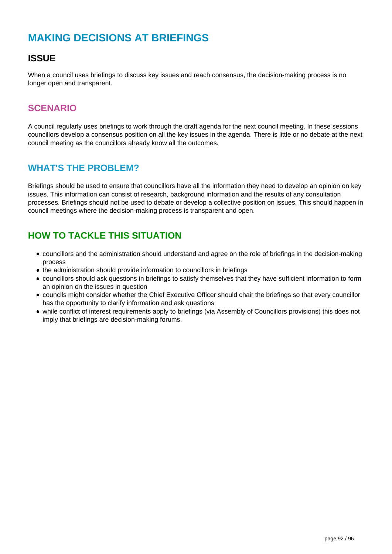# **MAKING DECISIONS AT BRIEFINGS**

## **ISSUE**

When a council uses briefings to discuss key issues and reach consensus, the decision-making process is no longer open and transparent.

#### **SCENARIO**

A council regularly uses briefings to work through the draft agenda for the next council meeting. In these sessions councillors develop a consensus position on all the key issues in the agenda. There is little or no debate at the next council meeting as the councillors already know all the outcomes.

#### **WHAT'S THE PROBLEM?**

Briefings should be used to ensure that councillors have all the information they need to develop an opinion on key issues. This information can consist of research, background information and the results of any consultation processes. Briefings should not be used to debate or develop a collective position on issues. This should happen in council meetings where the decision-making process is transparent and open.

- councillors and the administration should understand and agree on the role of briefings in the decision-making process
- the administration should provide information to councillors in briefings
- councillors should ask questions in briefings to satisfy themselves that they have sufficient information to form an opinion on the issues in question
- councils might consider whether the Chief Executive Officer should chair the briefings so that every councillor has the opportunity to clarify information and ask questions
- while conflict of interest requirements apply to briefings (via Assembly of Councillors provisions) this does not imply that briefings are decision-making forums.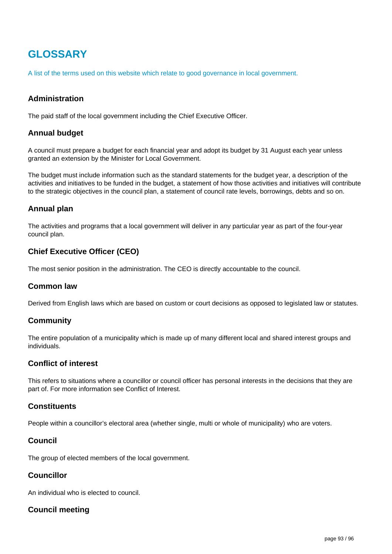# **GLOSSARY**

A list of the terms used on this website which relate to good governance in local government.

#### **Administration**

The paid staff of the local government including the Chief Executive Officer.

#### **Annual budget**

A council must prepare a budget for each financial year and adopt its budget by 31 August each year unless granted an extension by the Minister for Local Government.

The budget must include information such as the standard statements for the budget year, a description of the activities and initiatives to be funded in the budget, a statement of how those activities and initiatives will contribute to the strategic objectives in the council plan, a statement of council rate levels, borrowings, debts and so on.

#### **Annual plan**

The activities and programs that a local government will deliver in any particular year as part of the four-year council plan.

#### **Chief Executive Officer (CEO)**

The most senior position in the administration. The CEO is directly accountable to the council.

#### **Common law**

Derived from English laws which are based on custom or court decisions as opposed to legislated law or statutes.

#### **Community**

The entire population of a municipality which is made up of many different local and shared interest groups and individuals.

#### **Conflict of interest**

This refers to situations where a councillor or council officer has personal interests in the decisions that they are part of. For more information see Conflict of Interest.

#### **Constituents**

People within a councillor's electoral area (whether single, multi or whole of municipality) who are voters.

#### **Council**

The group of elected members of the local government.

#### **Councillor**

An individual who is elected to council.

#### **Council meeting**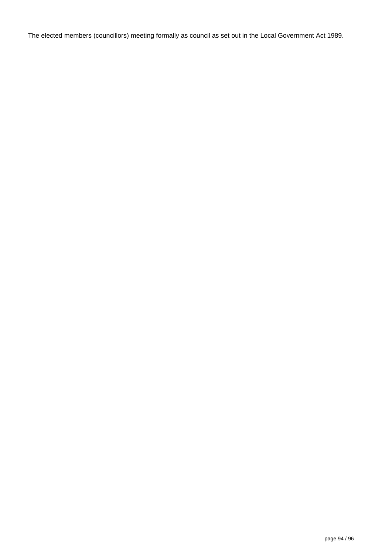The elected members (councillors) meeting formally as council as set out in the Local Government Act 1989.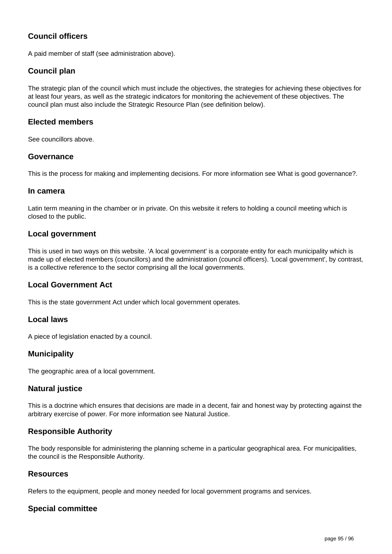#### **Council officers**

A paid member of staff (see administration above).

#### **Council plan**

The strategic plan of the council which must include the objectives, the strategies for achieving these objectives for at least four years, as well as the strategic indicators for monitoring the achievement of these objectives. The council plan must also include the Strategic Resource Plan (see definition below).

#### **Elected members**

See councillors above.

#### **Governance**

This is the process for making and implementing decisions. For more information see What is good governance?.

#### **In camera**

Latin term meaning in the chamber or in private. On this website it refers to holding a council meeting which is closed to the public.

#### **Local government**

This is used in two ways on this website. 'A local government' is a corporate entity for each municipality which is made up of elected members (councillors) and the administration (council officers). 'Local government', by contrast, is a collective reference to the sector comprising all the local governments.

#### **Local Government Act**

This is the state government Act under which local government operates.

#### **Local laws**

A piece of legislation enacted by a council.

#### **Municipality**

The geographic area of a local government.

#### **Natural justice**

This is a doctrine which ensures that decisions are made in a decent, fair and honest way by protecting against the arbitrary exercise of power. For more information see Natural Justice.

#### **Responsible Authority**

The body responsible for administering the planning scheme in a particular geographical area. For municipalities, the council is the Responsible Authority.

#### **Resources**

Refers to the equipment, people and money needed for local government programs and services.

#### **Special committee**